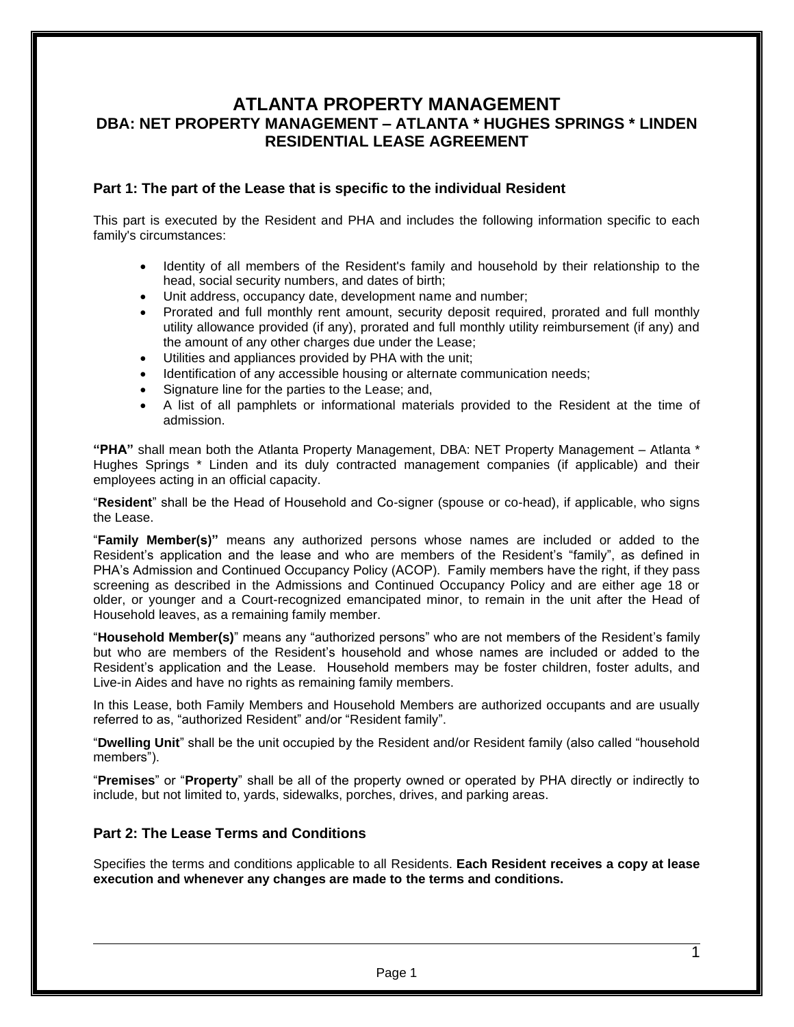## **ATLANTA PROPERTY MANAGEMENT DBA: NET PROPERTY MANAGEMENT – ATLANTA \* HUGHES SPRINGS \* LINDEN RESIDENTIAL LEASE AGREEMENT**

## **Part 1: The part of the Lease that is specific to the individual Resident**

This part is executed by the Resident and PHA and includes the following information specific to each family's circumstances:

- Identity of all members of the Resident's family and household by their relationship to the head, social security numbers, and dates of birth;
- Unit address, occupancy date, development name and number;
- Prorated and full monthly rent amount, security deposit required, prorated and full monthly utility allowance provided (if any), prorated and full monthly utility reimbursement (if any) and the amount of any other charges due under the Lease;
- Utilities and appliances provided by PHA with the unit;
- Identification of any accessible housing or alternate communication needs;
- Signature line for the parties to the Lease; and,
- A list of all pamphlets or informational materials provided to the Resident at the time of admission.

**"PHA"** shall mean both the Atlanta Property Management, DBA: NET Property Management – Atlanta \* Hughes Springs \* Linden and its duly contracted management companies (if applicable) and their employees acting in an official capacity.

"**Resident**" shall be the Head of Household and Co-signer (spouse or co-head), if applicable, who signs the Lease.

"**Family Member(s)"** means any authorized persons whose names are included or added to the Resident's application and the lease and who are members of the Resident's "family", as defined in PHA's Admission and Continued Occupancy Policy (ACOP). Family members have the right, if they pass screening as described in the Admissions and Continued Occupancy Policy and are either age 18 or older, or younger and a Court-recognized emancipated minor, to remain in the unit after the Head of Household leaves, as a remaining family member.

"**Household Member(s)**" means any "authorized persons" who are not members of the Resident's family but who are members of the Resident's household and whose names are included or added to the Resident's application and the Lease. Household members may be foster children, foster adults, and Live-in Aides and have no rights as remaining family members.

In this Lease, both Family Members and Household Members are authorized occupants and are usually referred to as, "authorized Resident" and/or "Resident family".

"**Dwelling Unit**" shall be the unit occupied by the Resident and/or Resident family (also called "household members").

"**Premises**" or "**Property**" shall be all of the property owned or operated by PHA directly or indirectly to include, but not limited to, yards, sidewalks, porches, drives, and parking areas.

## **Part 2: The Lease Terms and Conditions**

Specifies the terms and conditions applicable to all Residents. **Each Resident receives a copy at lease execution and whenever any changes are made to the terms and conditions.**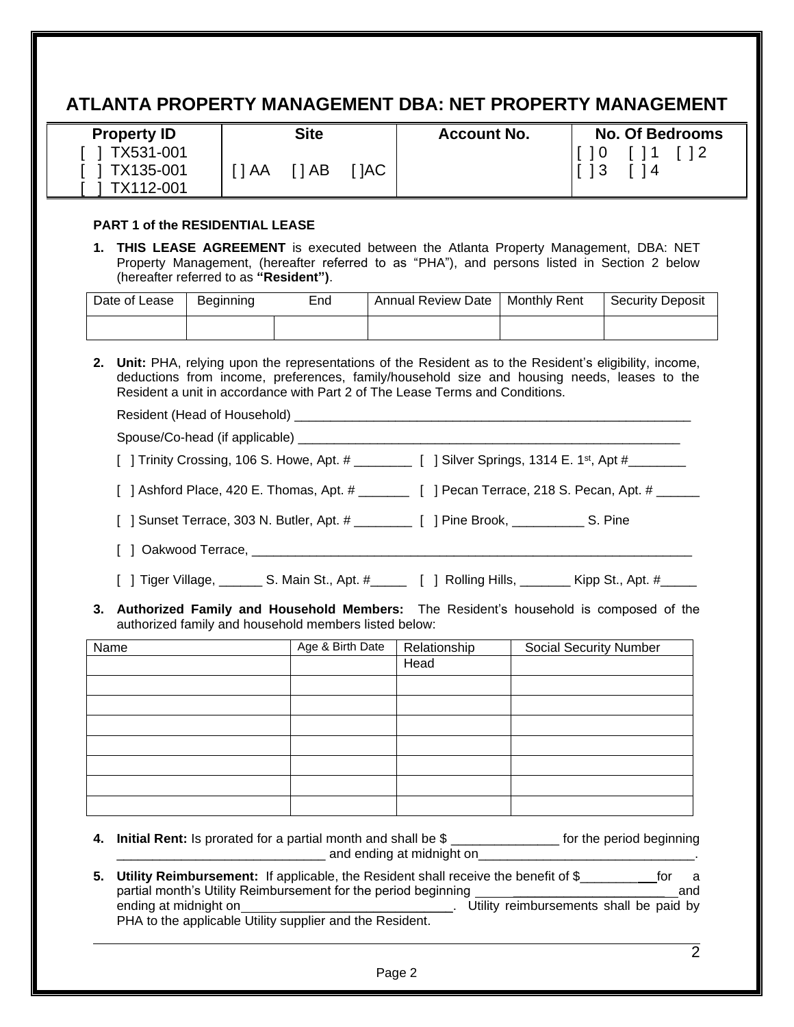# **ATLANTA PROPERTY MANAGEMENT DBA: NET PROPERTY MANAGEMENT**

| <b>Property ID</b>                    |      | <b>Site</b>  |     | <b>Account No.</b> | <b>No. Of Bedrooms</b> |
|---------------------------------------|------|--------------|-----|--------------------|------------------------|
| 1 TX531-001<br>TX135-001<br>TX112-001 | 1 AA | $\bigcap$ AB | JAC |                    | l O                    |

#### **PART 1 of the RESIDENTIAL LEASE**

**1. THIS LEASE AGREEMENT** is executed between the Atlanta Property Management, DBA: NET Property Management, (hereafter referred to as "PHA"), and persons listed in Section 2 below (hereafter referred to as **"Resident")**.

| Date of Lease | <b>Beginning</b> | End | <b>Annual Review Date</b> | <b>Monthly Rent</b> | <b>Security Deposit</b> |
|---------------|------------------|-----|---------------------------|---------------------|-------------------------|
|               |                  |     |                           |                     |                         |

**2. Unit:** PHA, relying upon the representations of the Resident as to the Resident's eligibility, income, deductions from income, preferences, family/household size and housing needs, leases to the Resident a unit in accordance with Part 2 of The Lease Terms and Conditions.

Resident (Head of Household) \_\_\_\_\_\_\_\_\_\_\_\_\_\_\_\_\_\_\_\_\_\_\_\_\_\_\_\_\_\_\_\_\_\_\_\_\_\_\_\_\_\_\_\_\_\_\_\_\_\_\_\_\_\_\_ Spouse/Co-head (if applicable) \_\_\_\_\_\_\_\_\_\_\_\_\_\_\_\_\_\_\_\_\_\_\_\_\_\_\_\_\_\_\_\_\_\_\_\_\_\_\_\_\_\_\_\_\_\_\_\_\_\_\_\_\_

[  $\,$  ] Trinity Crossing, 106 S. Howe, Apt. # \_\_\_\_\_\_\_\_\_ [  $\,$  ] Silver Springs, 1314 E. 1st, Apt #\_\_\_\_\_\_\_\_

[ ] Ashford Place, 420 E. Thomas, Apt. # \_\_\_\_\_\_\_\_ [ ] Pecan Terrace, 218 S. Pecan, Apt. # \_\_\_\_\_\_

[ ] Sunset Terrace, 303 N. Butler, Apt. # \_\_\_\_\_\_\_\_ [ ] Pine Brook, \_\_\_\_\_\_\_\_\_\_ S. Pine

- [ ] Oakwood Terrace, \_\_\_\_\_\_\_\_\_\_\_\_\_\_\_\_\_\_\_\_\_\_\_\_\_\_\_\_\_\_\_\_\_\_\_\_\_\_\_\_\_\_\_\_\_\_\_\_\_\_\_\_\_\_\_\_\_\_\_\_\_
- [ ] Tiger Village, \_\_\_\_\_\_\_ S. Main St., Apt. #\_\_\_\_\_\_ [ ] Rolling Hills, \_\_\_\_\_\_\_ Kipp St., Apt. #\_\_\_\_\_
- **3. Authorized Family and Household Members:** The Resident's household is composed of the authorized family and household members listed below:

| Name | Age & Birth Date | Relationship | Social Security Number |
|------|------------------|--------------|------------------------|
|      |                  | Head         |                        |
|      |                  |              |                        |
|      |                  |              |                        |
|      |                  |              |                        |
|      |                  |              |                        |
|      |                  |              |                        |
|      |                  |              |                        |
|      |                  |              |                        |

- **4. Initial Rent:** Is prorated for a partial month and shall be \$ \_\_\_\_\_\_\_\_\_\_\_\_\_\_\_ for the period beginning and ending at midnight on
- **5. Utility Reimbursement:** If applicable, the Resident shall receive the benefit of \$\_\_\_\_\_\_\_\_ for a partial month's Utility Reimbursement for the period beginning \_\_\_\_\_\_\_\_\_\_\_\_\_\_\_\_\_\_\_\_\_ and ending at midnight on \_\_\_\_\_\_\_\_\_\_\_\_\_\_\_\_\_\_\_\_\_\_\_\_\_\_\_\_\_. Utility reimbursements shall be paid by PHA to the applicable Utility supplier and the Resident.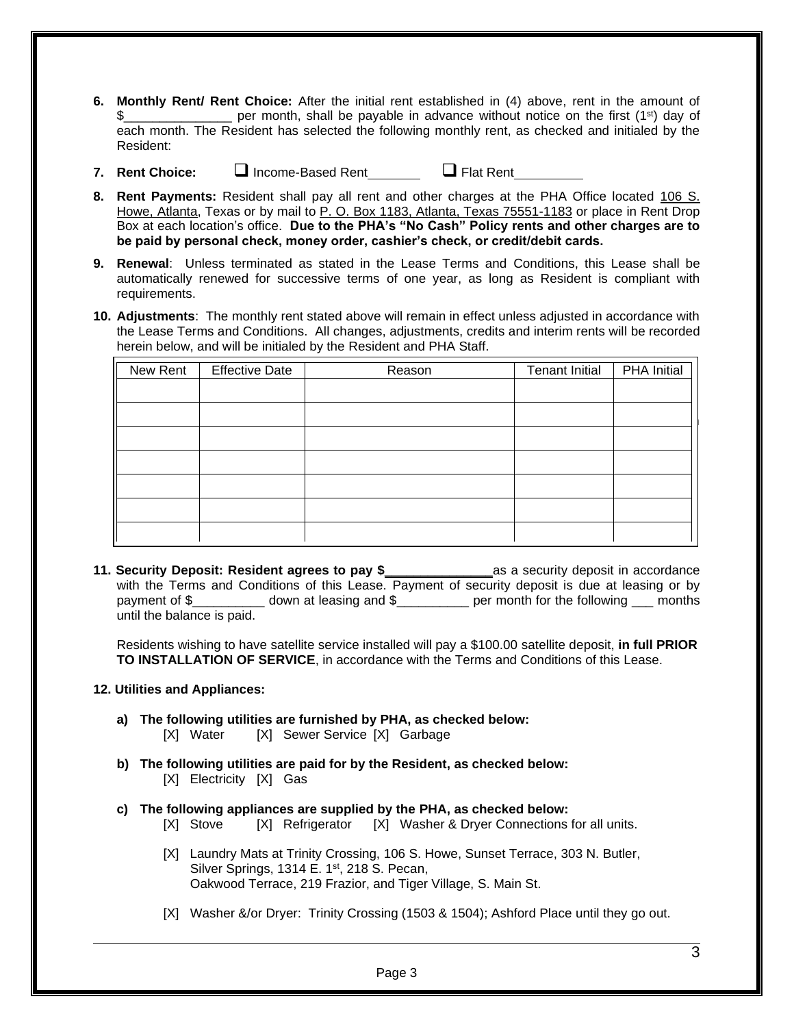- **6. Monthly Rent/ Rent Choice:** After the initial rent established in (4) above, rent in the amount of per month, shall be payable in advance without notice on the first (1<sup>st</sup>) day of each month. The Resident has selected the following monthly rent, as checked and initialed by the Resident:
- **7. Rent Choice:** ❑ Income-Based Rent ❑ Flat Rent

- **8. Rent Payments:** Resident shall pay all rent and other charges at the PHA Office located 106 S. Howe, Atlanta, Texas or by mail to P. O. Box 1183, Atlanta, Texas 75551-1183 or place in Rent Drop Box at each location's office. **Due to the PHA's "No Cash" Policy rents and other charges are to be paid by personal check, money order, cashier's check, or credit/debit cards.**
- **9. Renewal**: Unless terminated as stated in the Lease Terms and Conditions, this Lease shall be automatically renewed for successive terms of one year, as long as Resident is compliant with requirements.
- **10. Adjustments**: The monthly rent stated above will remain in effect unless adjusted in accordance with the Lease Terms and Conditions. All changes, adjustments, credits and interim rents will be recorded herein below, and will be initialed by the Resident and PHA Staff.

| New Rent | <b>Effective Date</b> | Reason | <b>Tenant Initial</b> | <b>PHA Initial</b> |
|----------|-----------------------|--------|-----------------------|--------------------|
|          |                       |        |                       |                    |
|          |                       |        |                       |                    |
|          |                       |        |                       |                    |
|          |                       |        |                       |                    |
|          |                       |        |                       |                    |
|          |                       |        |                       |                    |
|          |                       |        |                       |                    |
|          |                       |        |                       |                    |

**11. Security Deposit: Resident agrees to pay \$\_\_\_\_\_\_\_\_\_\_\_\_\_\_\_**as a security deposit in accordance with the Terms and Conditions of this Lease. Payment of security deposit is due at leasing or by payment of \$ down at leasing and \$ per month for the following months until the balance is paid.

Residents wishing to have satellite service installed will pay a \$100.00 satellite deposit, **in full PRIOR TO INSTALLATION OF SERVICE**, in accordance with the Terms and Conditions of this Lease.

#### **12. Utilities and Appliances:**

- **a) The following utilities are furnished by PHA, as checked below:** [X] Water [X] Sewer Service [X] Garbage
- **b) The following utilities are paid for by the Resident, as checked below:** [X] Electricity [X] Gas
- **c) The following appliances are supplied by the PHA, as checked below:** 
	- [X] Stove [X] Refrigerator [X] Washer & Dryer Connections for all units.
	- [X] Laundry Mats at Trinity Crossing, 106 S. Howe, Sunset Terrace, 303 N. Butler, Silver Springs, 1314 E. 1st, 218 S. Pecan, Oakwood Terrace, 219 Frazior, and Tiger Village, S. Main St.
	- [X] Washer &/or Dryer: Trinity Crossing (1503 & 1504); Ashford Place until they go out.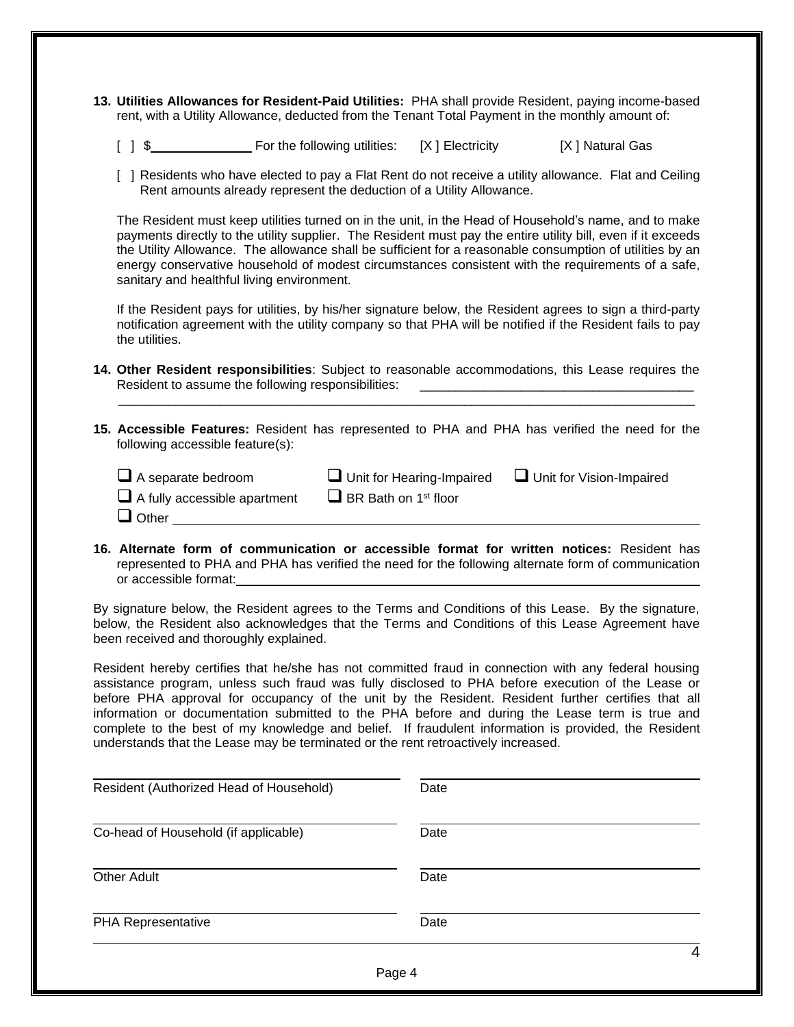- **13. Utilities Allowances for Resident-Paid Utilities:** PHA shall provide Resident, paying income-based rent, with a Utility Allowance, deducted from the Tenant Total Payment in the monthly amount of:
	- [ ] \$ For the following utilities: [X ] Electricity [X ] Natural Gas
	- [ ] Residents who have elected to pay a Flat Rent do not receive a utility allowance. Flat and Ceiling Rent amounts already represent the deduction of a Utility Allowance.

The Resident must keep utilities turned on in the unit, in the Head of Household's name, and to make payments directly to the utility supplier. The Resident must pay the entire utility bill, even if it exceeds the Utility Allowance. The allowance shall be sufficient for a reasonable consumption of utilities by an energy conservative household of modest circumstances consistent with the requirements of a safe, sanitary and healthful living environment.

If the Resident pays for utilities, by his/her signature below, the Resident agrees to sign a third-party notification agreement with the utility company so that PHA will be notified if the Resident fails to pay the utilities.

- **14. Other Resident responsibilities**: Subject to reasonable accommodations, this Lease requires the Resident to assume the following responsibilities:  $\mathcal{L}_\text{max}$  , and the set of the set of the set of the set of the set of the set of the set of the set of the set of the set of the set of the set of the set of the set of the set of the set of the set of the set of the
- **15. Accessible Features:** Resident has represented to PHA and PHA has verified the need for the following accessible feature(s):

| $\Box$ A separate bedroom           | $\Box$ Unit for Hearing-Impaired        | $\Box$ Unit for Vision-Impaired |
|-------------------------------------|-----------------------------------------|---------------------------------|
| $\Box$ A fully accessible apartment | $\Box$ BR Bath on 1 <sup>st</sup> floor |                                 |
| $\Box$ Other                        |                                         |                                 |

**16. Alternate form of communication or accessible format for written notices:** Resident has represented to PHA and PHA has verified the need for the following alternate form of communication or accessible format:

By signature below, the Resident agrees to the Terms and Conditions of this Lease. By the signature, below, the Resident also acknowledges that the Terms and Conditions of this Lease Agreement have been received and thoroughly explained.

Resident hereby certifies that he/she has not committed fraud in connection with any federal housing assistance program, unless such fraud was fully disclosed to PHA before execution of the Lease or before PHA approval for occupancy of the unit by the Resident. Resident further certifies that all information or documentation submitted to the PHA before and during the Lease term is true and complete to the best of my knowledge and belief. If fraudulent information is provided, the Resident understands that the Lease may be terminated or the rent retroactively increased.

| Resident (Authorized Head of Household) | Date |   |
|-----------------------------------------|------|---|
| Co-head of Household (if applicable)    | Date |   |
| <b>Other Adult</b>                      | Date |   |
| PHA Representative                      | Date |   |
|                                         |      | Δ |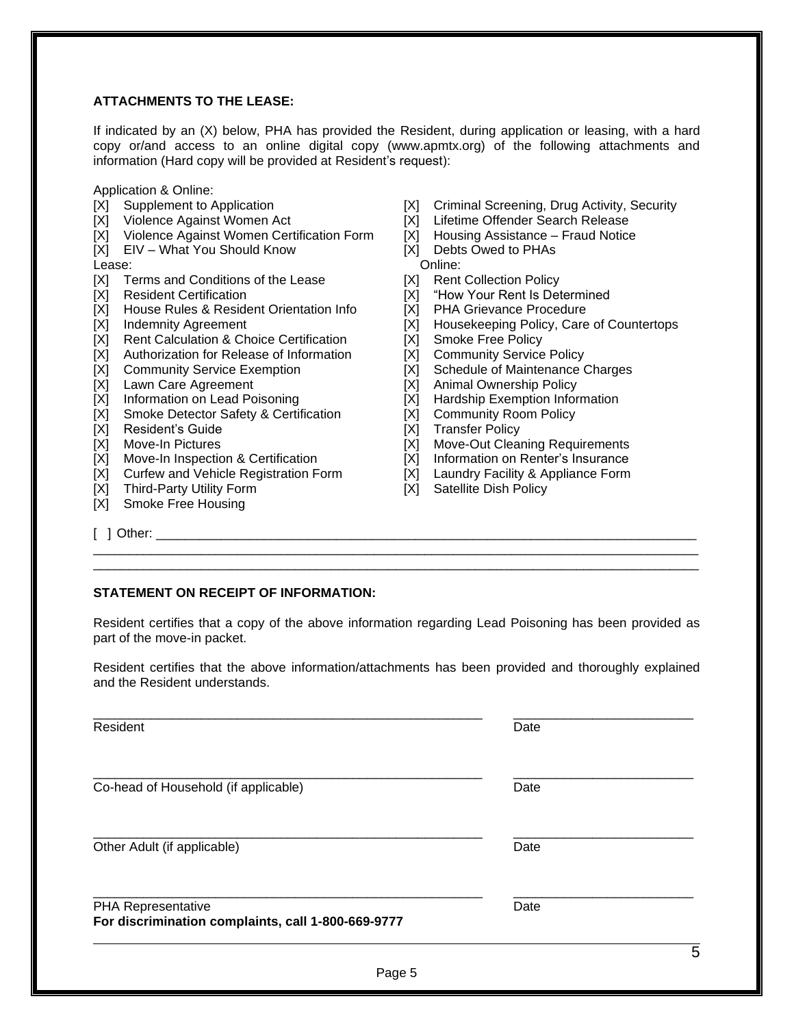## **ATTACHMENTS TO THE LEASE:**

If indicated by an (X) below, PHA has provided the Resident, during application or leasing, with a hard copy or/and access to an online digital copy (www.apmtx.org) of the following attachments and information (Hard copy will be provided at Resident's request):

- Application & Online:<br>[X] Supplement to Application
- 
- [X] Violence Against Women Certification Form  $[X]$  Housing Assistance  $[X]$  EIV What You Should Know  $[X]$  Debts Owed to PHAs
- $[X]$  EIV What You Should Know

Lease: Online:

- [X] Terms and Conditions of the Lease [X] Rent Collection Policy<br>[X] Resident Certification [X] "How Your Rent Is Det
- 
- [X] House Rules & Resident Orientation Info
- 
- [X] Rent Calculation & Choice Certification [X] Smoke Free Policy
- [X] Authorization for Release of Information [X] Community Service Policy
- 
- 
- [X] Lawn Care Agreement [X] Animal Ownership Policy<br>[X] Information on Lead Poisoning [X] Hardship Exemption Infor
- [X] Smoke Detector Safety & Certification [X] Community Room Policy
- 
- [X] Resident's Guide<br>
[X] Move-In Pictures<br>
[X] Move-Out Clear
- [X] Move-In Inspection & Certification [X] Information on Renter's Insurance
- [X] Curfew and Vehicle Registration Form [X] Laundry Facility & Appliance Form
- [X] Third-Party Utility Form [X] Satellite Dish Policy
- [X] Smoke Free Housing
- [X] Supplement to Application [X] Criminal Screening, Drug Activity, Security [X] Violence Against Women Act [X] Lifetime Offender Search Release
	- [X] Lifetime Offender Search Release<br>[X] Housing Assistance Fraud Notice
	-
	-
	-
	-
	- [X] "How Your Rent Is Determined<br>[X] PHA Grievance Procedure
	-
- [X] Indemnity Agreement [X] Housekeeping Policy, Care of Countertops
	-
	-
- [X] Community Service Exemption [X] Schedule of Maintenance Charges [X] Lawn Care Agreement [X] Animal Ownership Policy
	-
	- [X] Hardship Exemption Information
	-
	-
	- [X] Move-Out Cleaning Requirements
	-
	-
	-

 $\begin{bmatrix} 1 & 1 & 0 \end{bmatrix}$  Other:

## **STATEMENT ON RECEIPT OF INFORMATION:**

Resident certifies that a copy of the above information regarding Lead Poisoning has been provided as part of the move-in packet.

\_\_\_\_\_\_\_\_\_\_\_\_\_\_\_\_\_\_\_\_\_\_\_\_\_\_\_\_\_\_\_\_\_\_\_\_\_\_\_\_\_\_\_\_\_\_\_\_\_\_\_\_\_\_\_\_\_\_\_\_\_\_\_\_\_\_\_\_\_\_\_\_\_\_\_\_\_\_\_\_\_\_\_\_ \_\_\_\_\_\_\_\_\_\_\_\_\_\_\_\_\_\_\_\_\_\_\_\_\_\_\_\_\_\_\_\_\_\_\_\_\_\_\_\_\_\_\_\_\_\_\_\_\_\_\_\_\_\_\_\_\_\_\_\_\_\_\_\_\_\_\_\_\_\_\_\_\_\_\_\_\_\_\_\_\_\_\_\_

Resident certifies that the above information/attachments has been provided and thoroughly explained and the Resident understands.

| Resident                                                                 | Date |  |
|--------------------------------------------------------------------------|------|--|
| Co-head of Household (if applicable)                                     | Date |  |
| Other Adult (if applicable)                                              | Date |  |
| PHA Representative<br>For discrimination complaints, call 1-800-669-9777 | Date |  |

5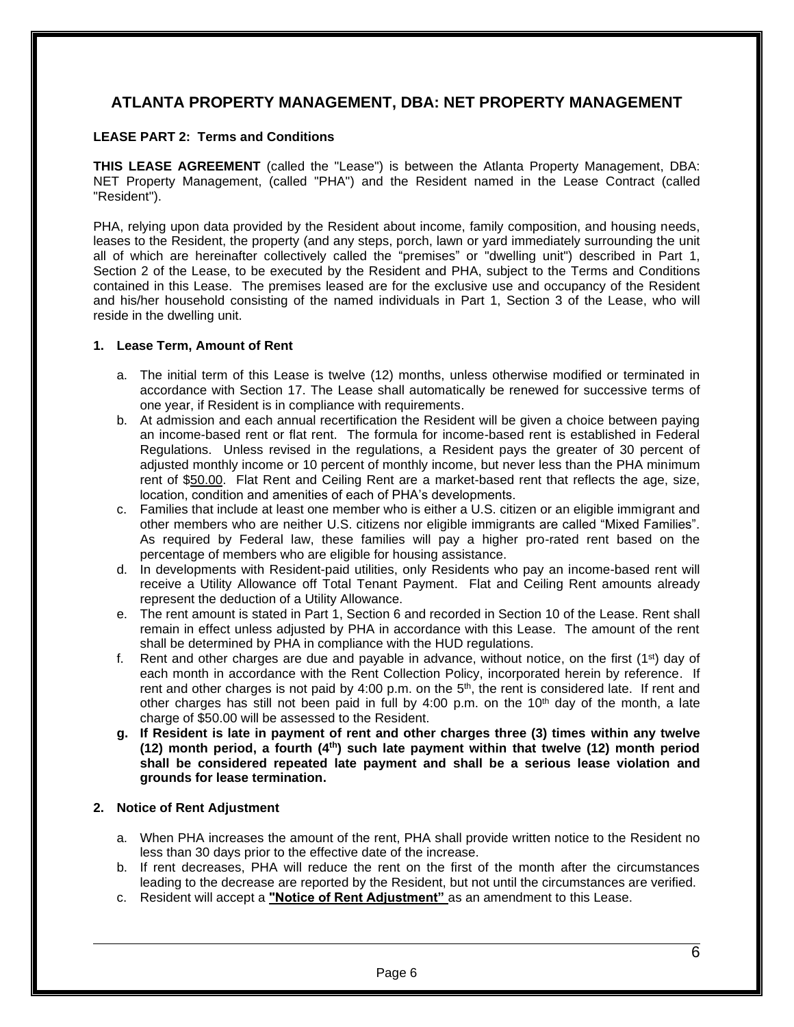## **ATLANTA PROPERTY MANAGEMENT, DBA: NET PROPERTY MANAGEMENT**

## **LEASE PART 2: Terms and Conditions**

**THIS LEASE AGREEMENT** (called the "Lease") is between the Atlanta Property Management, DBA: NET Property Management, (called "PHA") and the Resident named in the Lease Contract (called "Resident").

PHA, relying upon data provided by the Resident about income, family composition, and housing needs, leases to the Resident, the property (and any steps, porch, lawn or yard immediately surrounding the unit all of which are hereinafter collectively called the "premises" or "dwelling unit") described in Part 1, Section 2 of the Lease, to be executed by the Resident and PHA, subject to the Terms and Conditions contained in this Lease. The premises leased are for the exclusive use and occupancy of the Resident and his/her household consisting of the named individuals in Part 1, Section 3 of the Lease, who will reside in the dwelling unit.

#### **1. Lease Term, Amount of Rent**

- a. The initial term of this Lease is twelve (12) months, unless otherwise modified or terminated in accordance with Section 17. The Lease shall automatically be renewed for successive terms of one year, if Resident is in compliance with requirements.
- b. At admission and each annual recertification the Resident will be given a choice between paying an income-based rent or flat rent. The formula for income-based rent is established in Federal Regulations. Unless revised in the regulations, a Resident pays the greater of 30 percent of adjusted monthly income or 10 percent of monthly income, but never less than the PHA minimum rent of \$50.00. Flat Rent and Ceiling Rent are a market-based rent that reflects the age, size, location, condition and amenities of each of PHA's developments.
- c. Families that include at least one member who is either a U.S. citizen or an eligible immigrant and other members who are neither U.S. citizens nor eligible immigrants are called "Mixed Families". As required by Federal law, these families will pay a higher pro-rated rent based on the percentage of members who are eligible for housing assistance.
- d. In developments with Resident-paid utilities, only Residents who pay an income-based rent will receive a Utility Allowance off Total Tenant Payment. Flat and Ceiling Rent amounts already represent the deduction of a Utility Allowance.
- e. The rent amount is stated in Part 1, Section 6 and recorded in Section 10 of the Lease. Rent shall remain in effect unless adjusted by PHA in accordance with this Lease. The amount of the rent shall be determined by PHA in compliance with the HUD regulations.
- f. Rent and other charges are due and payable in advance, without notice, on the first  $(1^{st})$  day of each month in accordance with the Rent Collection Policy, incorporated herein by reference. If rent and other charges is not paid by 4:00 p.m. on the  $5<sup>th</sup>$ , the rent is considered late. If rent and other charges has still not been paid in full by 4:00 p.m. on the  $10<sup>th</sup>$  day of the month, a late charge of \$50.00 will be assessed to the Resident.
- **g. If Resident is late in payment of rent and other charges three (3) times within any twelve (12) month period, a fourth (4th) such late payment within that twelve (12) month period shall be considered repeated late payment and shall be a serious lease violation and grounds for lease termination.**

## **2. Notice of Rent Adjustment**

- a. When PHA increases the amount of the rent, PHA shall provide written notice to the Resident no less than 30 days prior to the effective date of the increase.
- b. If rent decreases, PHA will reduce the rent on the first of the month after the circumstances leading to the decrease are reported by the Resident, but not until the circumstances are verified.
- c. Resident will accept a **"Notice of Rent Adjustment"** as an amendment to this Lease.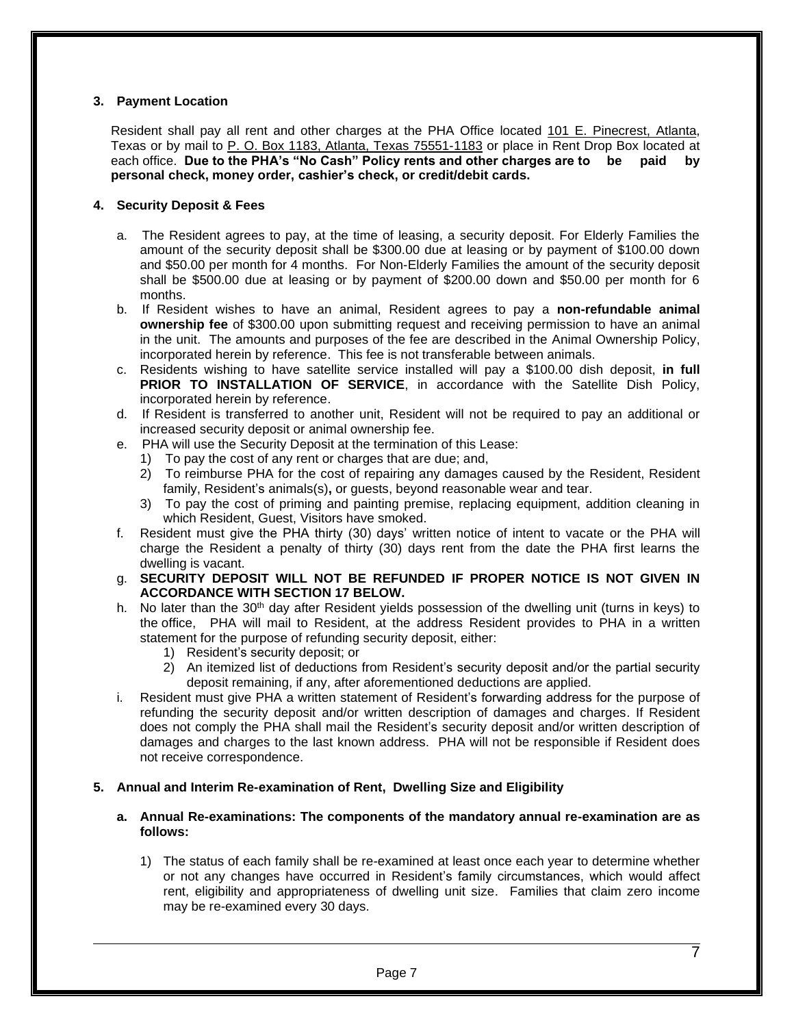## **3. Payment Location**

Resident shall pay all rent and other charges at the PHA Office located 101 E. Pinecrest, Atlanta, Texas or by mail to P. O. Box 1183, Atlanta, Texas 75551-1183 or place in Rent Drop Box located at each office. **Due to the PHA's "No Cash" Policy rents and other charges are to be paid by personal check, money order, cashier's check, or credit/debit cards.** 

#### **4. Security Deposit & Fees**

- a. The Resident agrees to pay, at the time of leasing, a security deposit. For Elderly Families the amount of the security deposit shall be \$300.00 due at leasing or by payment of \$100.00 down and \$50.00 per month for 4 months. For Non-Elderly Families the amount of the security deposit shall be \$500.00 due at leasing or by payment of \$200.00 down and \$50.00 per month for 6 months.
- b. If Resident wishes to have an animal, Resident agrees to pay a **non-refundable animal ownership fee** of \$300.00 upon submitting request and receiving permission to have an animal in the unit. The amounts and purposes of the fee are described in the Animal Ownership Policy, incorporated herein by reference. This fee is not transferable between animals.
- c. Residents wishing to have satellite service installed will pay a \$100.00 dish deposit, **in full PRIOR TO INSTALLATION OF SERVICE**, in accordance with the Satellite Dish Policy, incorporated herein by reference.
- d. If Resident is transferred to another unit, Resident will not be required to pay an additional or increased security deposit or animal ownership fee.
- e. PHA will use the Security Deposit at the termination of this Lease:
	- 1) To pay the cost of any rent or charges that are due; and,
	- 2) To reimburse PHA for the cost of repairing any damages caused by the Resident, Resident family, Resident's animals(s)**,** or guests, beyond reasonable wear and tear.
	- 3) To pay the cost of priming and painting premise, replacing equipment, addition cleaning in which Resident, Guest, Visitors have smoked.
- f. Resident must give the PHA thirty (30) days' written notice of intent to vacate or the PHA will charge the Resident a penalty of thirty (30) days rent from the date the PHA first learns the dwelling is vacant.
- g. **SECURITY DEPOSIT WILL NOT BE REFUNDED IF PROPER NOTICE IS NOT GIVEN IN ACCORDANCE WITH SECTION 17 BELOW.**
- h. No later than the 30<sup>th</sup> day after Resident yields possession of the dwelling unit (turns in keys) to the office, PHA will mail to Resident, at the address Resident provides to PHA in a written statement for the purpose of refunding security deposit, either:
	- 1) Resident's security deposit; or
	- 2) An itemized list of deductions from Resident's security deposit and/or the partial security deposit remaining, if any, after aforementioned deductions are applied.
- i. Resident must give PHA a written statement of Resident's forwarding address for the purpose of refunding the security deposit and/or written description of damages and charges. If Resident does not comply the PHA shall mail the Resident's security deposit and/or written description of damages and charges to the last known address. PHA will not be responsible if Resident does not receive correspondence.

#### **5. Annual and Interim Re-examination of Rent, Dwelling Size and Eligibility**

#### **a. Annual Re-examinations: The components of the mandatory annual re-examination are as follows:**

1) The status of each family shall be re-examined at least once each year to determine whether or not any changes have occurred in Resident's family circumstances, which would affect rent, eligibility and appropriateness of dwelling unit size. Families that claim zero income may be re-examined every 30 days.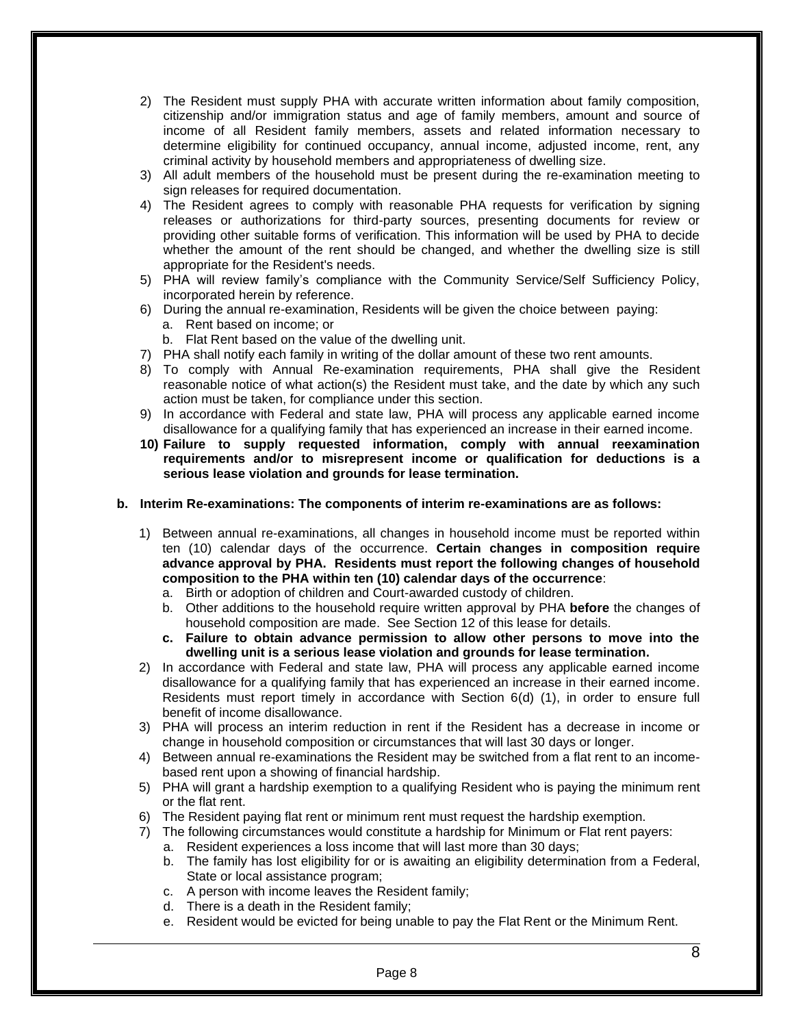- 2) The Resident must supply PHA with accurate written information about family composition, citizenship and/or immigration status and age of family members, amount and source of income of all Resident family members, assets and related information necessary to determine eligibility for continued occupancy, annual income, adjusted income, rent, any criminal activity by household members and appropriateness of dwelling size.
- 3) All adult members of the household must be present during the re-examination meeting to sign releases for required documentation.
- 4) The Resident agrees to comply with reasonable PHA requests for verification by signing releases or authorizations for third-party sources, presenting documents for review or providing other suitable forms of verification. This information will be used by PHA to decide whether the amount of the rent should be changed, and whether the dwelling size is still appropriate for the Resident's needs.
- 5) PHA will review family's compliance with the Community Service/Self Sufficiency Policy, incorporated herein by reference.
- 6) During the annual re-examination, Residents will be given the choice between paying:
	- a. Rent based on income; or
	- b. Flat Rent based on the value of the dwelling unit.
- 7) PHA shall notify each family in writing of the dollar amount of these two rent amounts.
- 8) To comply with Annual Re-examination requirements, PHA shall give the Resident reasonable notice of what action(s) the Resident must take, and the date by which any such action must be taken, for compliance under this section.
- 9) In accordance with Federal and state law, PHA will process any applicable earned income disallowance for a qualifying family that has experienced an increase in their earned income.
- **10) Failure to supply requested information, comply with annual reexamination requirements and/or to misrepresent income or qualification for deductions is a serious lease violation and grounds for lease termination.**

#### **b. Interim Re-examinations: The components of interim re-examinations are as follows:**

- 1) Between annual re-examinations, all changes in household income must be reported within ten (10) calendar days of the occurrence. **Certain changes in composition require advance approval by PHA. Residents must report the following changes of household composition to the PHA within ten (10) calendar days of the occurrence**:
	- a. Birth or adoption of children and Court-awarded custody of children.
	- b. Other additions to the household require written approval by PHA **before** the changes of household composition are made. See Section 12 of this lease for details.
	- **c. Failure to obtain advance permission to allow other persons to move into the dwelling unit is a serious lease violation and grounds for lease termination.**
- 2) In accordance with Federal and state law, PHA will process any applicable earned income disallowance for a qualifying family that has experienced an increase in their earned income. Residents must report timely in accordance with Section 6(d) (1), in order to ensure full benefit of income disallowance.
- 3) PHA will process an interim reduction in rent if the Resident has a decrease in income or change in household composition or circumstances that will last 30 days or longer.
- 4) Between annual re-examinations the Resident may be switched from a flat rent to an incomebased rent upon a showing of financial hardship.
- 5) PHA will grant a hardship exemption to a qualifying Resident who is paying the minimum rent or the flat rent.
- 6) The Resident paying flat rent or minimum rent must request the hardship exemption.
- 7) The following circumstances would constitute a hardship for Minimum or Flat rent payers:
	- a. Resident experiences a loss income that will last more than 30 days;
		- b. The family has lost eligibility for or is awaiting an eligibility determination from a Federal, State or local assistance program;
		- c. A person with income leaves the Resident family;
		- d. There is a death in the Resident family;
		- e. Resident would be evicted for being unable to pay the Flat Rent or the Minimum Rent.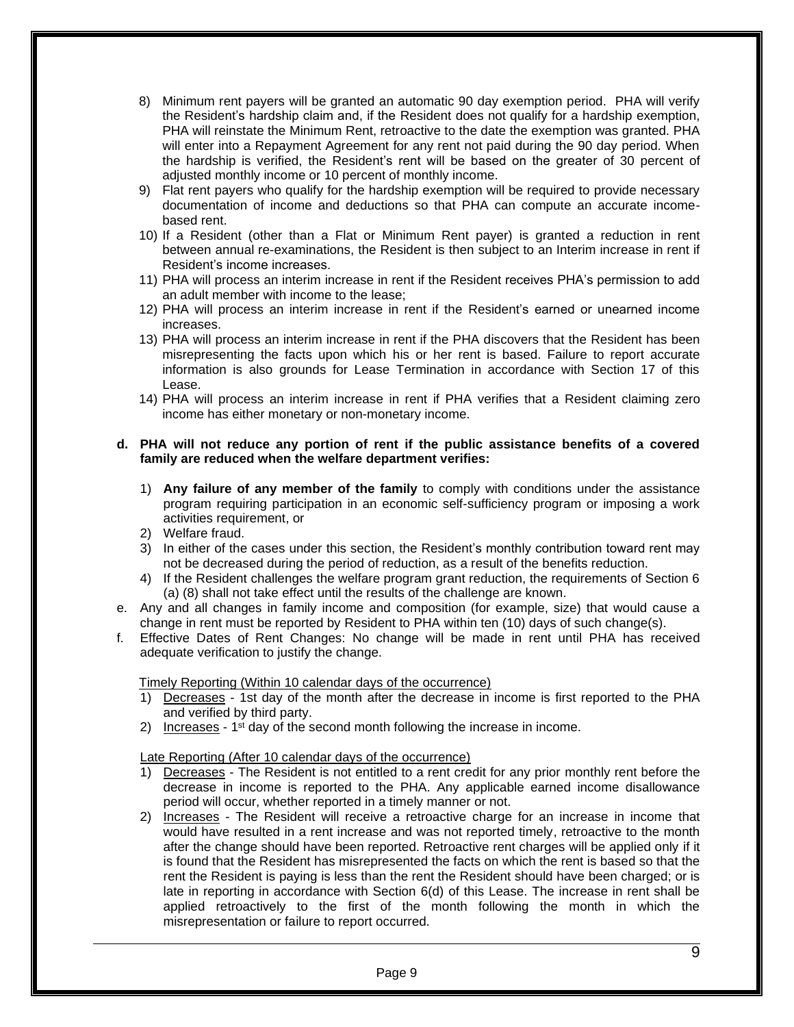- 8) Minimum rent payers will be granted an automatic 90 day exemption period. PHA will verify the Resident's hardship claim and, if the Resident does not qualify for a hardship exemption, PHA will reinstate the Minimum Rent, retroactive to the date the exemption was granted. PHA will enter into a Repayment Agreement for any rent not paid during the 90 day period. When the hardship is verified, the Resident's rent will be based on the greater of 30 percent of adjusted monthly income or 10 percent of monthly income.
- 9) Flat rent payers who qualify for the hardship exemption will be required to provide necessary documentation of income and deductions so that PHA can compute an accurate incomebased rent.
- 10) If a Resident (other than a Flat or Minimum Rent payer) is granted a reduction in rent between annual re-examinations, the Resident is then subject to an Interim increase in rent if Resident's income increases.
- 11) PHA will process an interim increase in rent if the Resident receives PHA's permission to add an adult member with income to the lease;
- 12) PHA will process an interim increase in rent if the Resident's earned or unearned income increases.
- 13) PHA will process an interim increase in rent if the PHA discovers that the Resident has been misrepresenting the facts upon which his or her rent is based. Failure to report accurate information is also grounds for Lease Termination in accordance with Section 17 of this Lease.
- 14) PHA will process an interim increase in rent if PHA verifies that a Resident claiming zero income has either monetary or non-monetary income.

#### **d. PHA will not reduce any portion of rent if the public assistance benefits of a covered family are reduced when the welfare department verifies:**

- 1) **Any failure of any member of the family** to comply with conditions under the assistance program requiring participation in an economic self-sufficiency program or imposing a work activities requirement, or
- 2) Welfare fraud.
- 3) In either of the cases under this section, the Resident's monthly contribution toward rent may not be decreased during the period of reduction, as a result of the benefits reduction.
- 4) If the Resident challenges the welfare program grant reduction, the requirements of Section 6 (a) (8) shall not take effect until the results of the challenge are known.
- e. Any and all changes in family income and composition (for example, size) that would cause a change in rent must be reported by Resident to PHA within ten (10) days of such change(s).
- f. Effective Dates of Rent Changes: No change will be made in rent until PHA has received adequate verification to justify the change.

#### Timely Reporting (Within 10 calendar days of the occurrence)

- 1) Decreases 1st day of the month after the decrease in income is first reported to the PHA and verified by third party.
- 2) Increases  $1<sup>st</sup>$  day of the second month following the increase in income.

#### Late Reporting (After 10 calendar days of the occurrence)

- 1) Decreases The Resident is not entitled to a rent credit for any prior monthly rent before the decrease in income is reported to the PHA. Any applicable earned income disallowance period will occur, whether reported in a timely manner or not.
- 2) Increases The Resident will receive a retroactive charge for an increase in income that would have resulted in a rent increase and was not reported timely, retroactive to the month after the change should have been reported. Retroactive rent charges will be applied only if it is found that the Resident has misrepresented the facts on which the rent is based so that the rent the Resident is paying is less than the rent the Resident should have been charged; or is late in reporting in accordance with Section 6(d) of this Lease. The increase in rent shall be applied retroactively to the first of the month following the month in which the misrepresentation or failure to report occurred.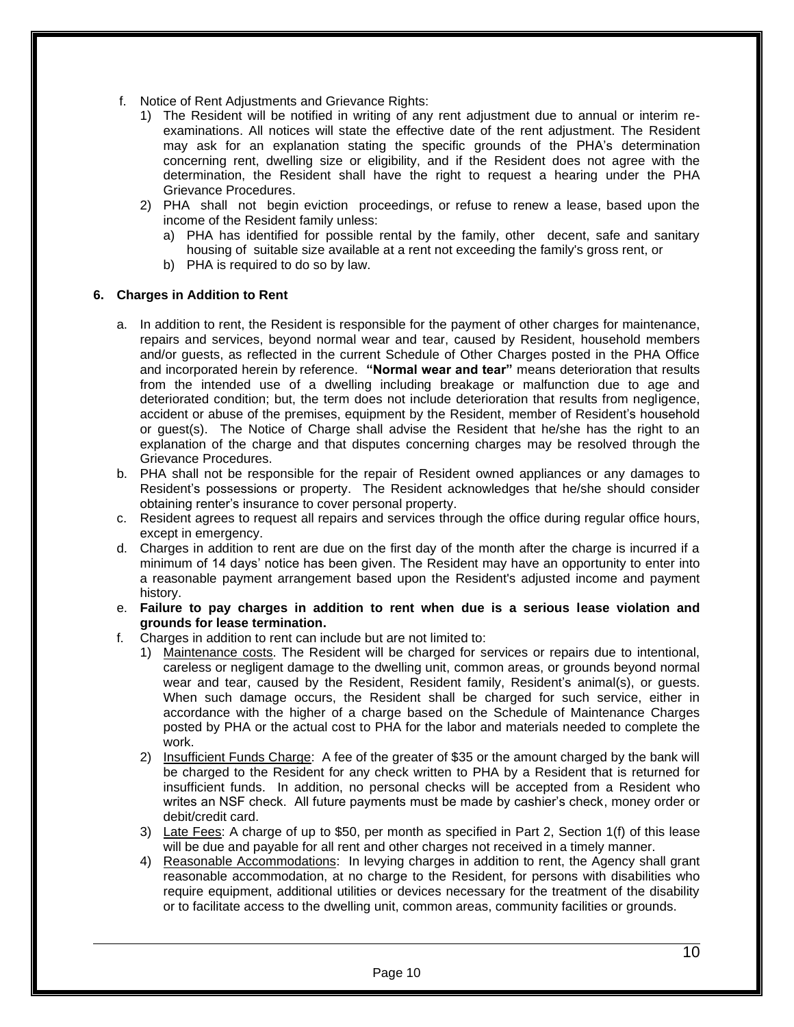- f. Notice of Rent Adjustments and Grievance Rights:
	- 1) The Resident will be notified in writing of any rent adjustment due to annual or interim reexaminations. All notices will state the effective date of the rent adjustment. The Resident may ask for an explanation stating the specific grounds of the PHA's determination concerning rent, dwelling size or eligibility, and if the Resident does not agree with the determination, the Resident shall have the right to request a hearing under the PHA Grievance Procedures.
	- 2) PHA shall not begin eviction proceedings, or refuse to renew a lease, based upon the income of the Resident family unless:
		- a) PHA has identified for possible rental by the family, other decent, safe and sanitary housing of suitable size available at a rent not exceeding the family's gross rent, or
		- b) PHA is required to do so by law.

#### **6. Charges in Addition to Rent**

- a. In addition to rent, the Resident is responsible for the payment of other charges for maintenance, repairs and services, beyond normal wear and tear, caused by Resident, household members and/or guests, as reflected in the current Schedule of Other Charges posted in the PHA Office and incorporated herein by reference. **"Normal wear and tear"** means deterioration that results from the intended use of a dwelling including breakage or malfunction due to age and deteriorated condition; but, the term does not include deterioration that results from negligence, accident or abuse of the premises, equipment by the Resident, member of Resident's household or guest(s). The Notice of Charge shall advise the Resident that he/she has the right to an explanation of the charge and that disputes concerning charges may be resolved through the Grievance Procedures.
- b. PHA shall not be responsible for the repair of Resident owned appliances or any damages to Resident's possessions or property. The Resident acknowledges that he/she should consider obtaining renter's insurance to cover personal property.
- c. Resident agrees to request all repairs and services through the office during regular office hours, except in emergency.
- d. Charges in addition to rent are due on the first day of the month after the charge is incurred if a minimum of 14 days' notice has been given. The Resident may have an opportunity to enter into a reasonable payment arrangement based upon the Resident's adjusted income and payment history.
- e. **Failure to pay charges in addition to rent when due is a serious lease violation and grounds for lease termination.**
- f. Charges in addition to rent can include but are not limited to:
	- 1) Maintenance costs. The Resident will be charged for services or repairs due to intentional, careless or negligent damage to the dwelling unit, common areas, or grounds beyond normal wear and tear, caused by the Resident, Resident family, Resident's animal(s), or guests. When such damage occurs, the Resident shall be charged for such service, either in accordance with the higher of a charge based on the Schedule of Maintenance Charges posted by PHA or the actual cost to PHA for the labor and materials needed to complete the work.
	- 2) Insufficient Funds Charge: A fee of the greater of \$35 or the amount charged by the bank will be charged to the Resident for any check written to PHA by a Resident that is returned for insufficient funds. In addition, no personal checks will be accepted from a Resident who writes an NSF check. All future payments must be made by cashier's check, money order or debit/credit card.
	- 3) Late Fees: A charge of up to \$50, per month as specified in Part 2, Section 1(f) of this lease will be due and payable for all rent and other charges not received in a timely manner.
	- 4) Reasonable Accommodations: In levying charges in addition to rent, the Agency shall grant reasonable accommodation, at no charge to the Resident, for persons with disabilities who require equipment, additional utilities or devices necessary for the treatment of the disability or to facilitate access to the dwelling unit, common areas, community facilities or grounds.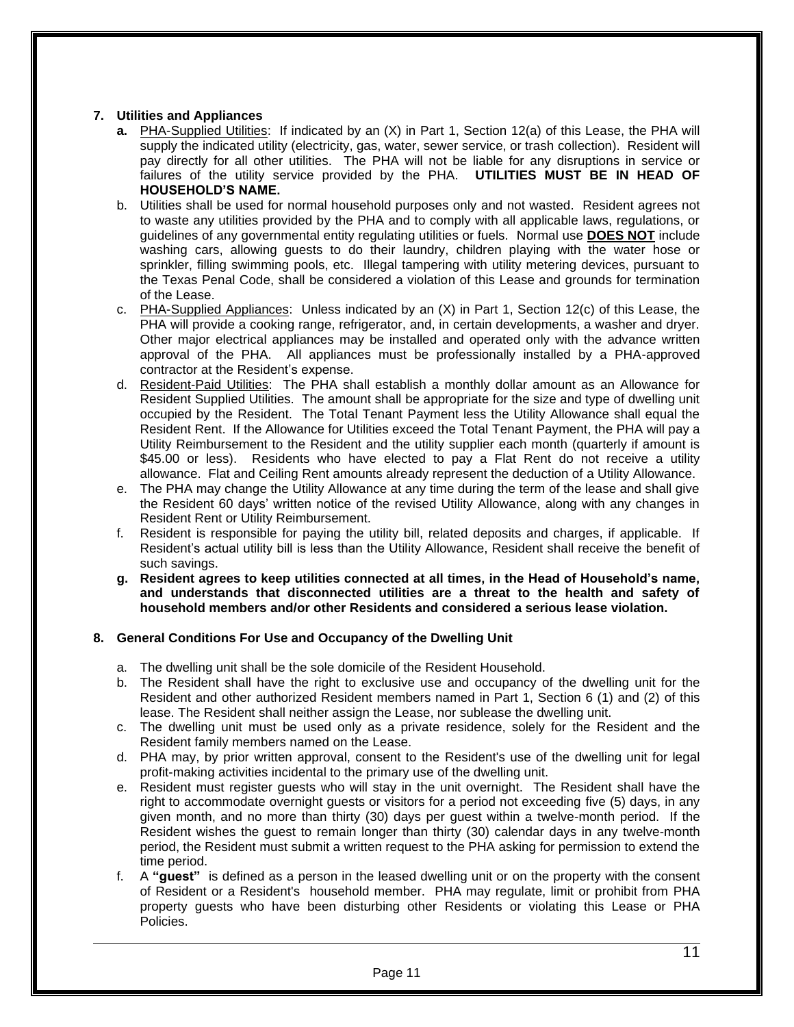## **7. Utilities and Appliances**

- **a.** PHA-Supplied Utilities: If indicated by an (X) in Part 1, Section 12(a) of this Lease, the PHA will supply the indicated utility (electricity, gas, water, sewer service, or trash collection). Resident will pay directly for all other utilities. The PHA will not be liable for any disruptions in service or failures of the utility service provided by the PHA. **UTILITIES MUST BE IN HEAD OF HOUSEHOLD'S NAME.**
- b. Utilities shall be used for normal household purposes only and not wasted. Resident agrees not to waste any utilities provided by the PHA and to comply with all applicable laws, regulations, or guidelines of any governmental entity regulating utilities or fuels. Normal use **DOES NOT** include washing cars, allowing guests to do their laundry, children playing with the water hose or sprinkler, filling swimming pools, etc. Illegal tampering with utility metering devices, pursuant to the Texas Penal Code, shall be considered a violation of this Lease and grounds for termination of the Lease.
- c. PHA-Supplied Appliances: Unless indicated by an (X) in Part 1, Section 12(c) of this Lease, the PHA will provide a cooking range, refrigerator, and, in certain developments, a washer and dryer. Other major electrical appliances may be installed and operated only with the advance written approval of the PHA. All appliances must be professionally installed by a PHA-approved contractor at the Resident's expense.
- d. Resident-Paid Utilities: The PHA shall establish a monthly dollar amount as an Allowance for Resident Supplied Utilities. The amount shall be appropriate for the size and type of dwelling unit occupied by the Resident. The Total Tenant Payment less the Utility Allowance shall equal the Resident Rent. If the Allowance for Utilities exceed the Total Tenant Payment, the PHA will pay a Utility Reimbursement to the Resident and the utility supplier each month (quarterly if amount is \$45.00 or less). Residents who have elected to pay a Flat Rent do not receive a utility allowance. Flat and Ceiling Rent amounts already represent the deduction of a Utility Allowance.
- e. The PHA may change the Utility Allowance at any time during the term of the lease and shall give the Resident 60 days' written notice of the revised Utility Allowance, along with any changes in Resident Rent or Utility Reimbursement.
- f. Resident is responsible for paying the utility bill, related deposits and charges, if applicable. If Resident's actual utility bill is less than the Utility Allowance, Resident shall receive the benefit of such savings.
- **g. Resident agrees to keep utilities connected at all times, in the Head of Household's name, and understands that disconnected utilities are a threat to the health and safety of household members and/or other Residents and considered a serious lease violation.**

## **8. General Conditions For Use and Occupancy of the Dwelling Unit**

- a. The dwelling unit shall be the sole domicile of the Resident Household.
- b. The Resident shall have the right to exclusive use and occupancy of the dwelling unit for the Resident and other authorized Resident members named in Part 1, Section 6 (1) and (2) of this lease. The Resident shall neither assign the Lease, nor sublease the dwelling unit.
- c. The dwelling unit must be used only as a private residence, solely for the Resident and the Resident family members named on the Lease.
- d. PHA may, by prior written approval, consent to the Resident's use of the dwelling unit for legal profit-making activities incidental to the primary use of the dwelling unit.
- e. Resident must register guests who will stay in the unit overnight. The Resident shall have the right to accommodate overnight guests or visitors for a period not exceeding five (5) days, in any given month, and no more than thirty (30) days per guest within a twelve-month period. If the Resident wishes the guest to remain longer than thirty (30) calendar days in any twelve-month period, the Resident must submit a written request to the PHA asking for permission to extend the time period.
- f. A **"guest"** is defined as a person in the leased dwelling unit or on the property with the consent of Resident or a Resident's household member. PHA may regulate, limit or prohibit from PHA property guests who have been disturbing other Residents or violating this Lease or PHA Policies.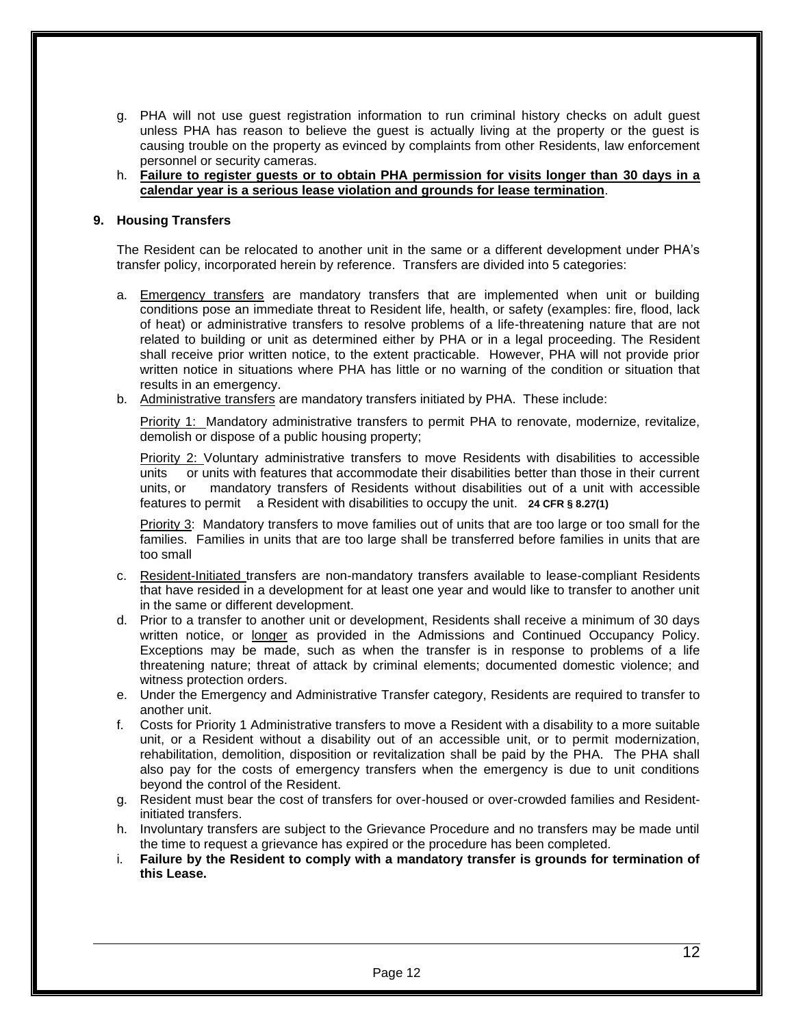- g. PHA will not use guest registration information to run criminal history checks on adult guest unless PHA has reason to believe the guest is actually living at the property or the guest is causing trouble on the property as evinced by complaints from other Residents, law enforcement personnel or security cameras.
- h. **Failure to register guests or to obtain PHA permission for visits longer than 30 days in a calendar year is a serious lease violation and grounds for lease termination**.

#### **9. Housing Transfers**

The Resident can be relocated to another unit in the same or a different development under PHA's transfer policy, incorporated herein by reference. Transfers are divided into 5 categories:

- a. Emergency transfers are mandatory transfers that are implemented when unit or building conditions pose an immediate threat to Resident life, health, or safety (examples: fire, flood, lack of heat) or administrative transfers to resolve problems of a life-threatening nature that are not related to building or unit as determined either by PHA or in a legal proceeding. The Resident shall receive prior written notice, to the extent practicable. However, PHA will not provide prior written notice in situations where PHA has little or no warning of the condition or situation that results in an emergency.
- b. Administrative transfers are mandatory transfers initiated by PHA. These include:

Priority 1: Mandatory administrative transfers to permit PHA to renovate, modernize, revitalize, demolish or dispose of a public housing property;

Priority 2: Voluntary administrative transfers to move Residents with disabilities to accessible units or units with features that accommodate their disabilities better than those in their current units, or mandatory transfers of Residents without disabilities out of a unit with accessible features to permit a Resident with disabilities to occupy the unit. **24 CFR § 8.27(1)**

Priority 3: Mandatory transfers to move families out of units that are too large or too small for the families. Families in units that are too large shall be transferred before families in units that are too small

- c. Resident-Initiated transfers are non-mandatory transfers available to lease-compliant Residents that have resided in a development for at least one year and would like to transfer to another unit in the same or different development.
- d. Prior to a transfer to another unit or development, Residents shall receive a minimum of 30 days written notice, or longer as provided in the Admissions and Continued Occupancy Policy. Exceptions may be made, such as when the transfer is in response to problems of a life threatening nature; threat of attack by criminal elements; documented domestic violence; and witness protection orders.
- e. Under the Emergency and Administrative Transfer category, Residents are required to transfer to another unit.
- f. Costs for Priority 1 Administrative transfers to move a Resident with a disability to a more suitable unit, or a Resident without a disability out of an accessible unit, or to permit modernization, rehabilitation, demolition, disposition or revitalization shall be paid by the PHA. The PHA shall also pay for the costs of emergency transfers when the emergency is due to unit conditions beyond the control of the Resident.
- g. Resident must bear the cost of transfers for over-housed or over-crowded families and Residentinitiated transfers.
- h. Involuntary transfers are subject to the Grievance Procedure and no transfers may be made until the time to request a grievance has expired or the procedure has been completed.
- i. **Failure by the Resident to comply with a mandatory transfer is grounds for termination of this Lease.**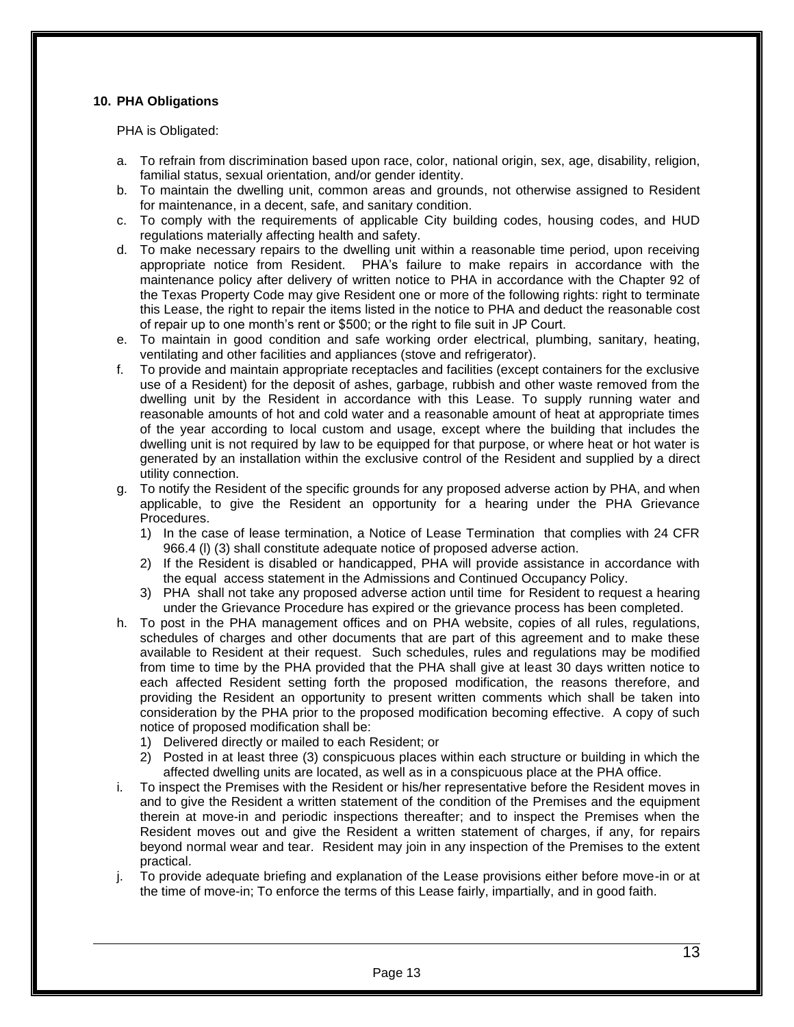## **10. PHA Obligations**

PHA is Obligated:

- a. To refrain from discrimination based upon race, color, national origin, sex, age, disability, religion, familial status, sexual orientation, and/or gender identity.
- b. To maintain the dwelling unit, common areas and grounds, not otherwise assigned to Resident for maintenance, in a decent, safe, and sanitary condition.
- c. To comply with the requirements of applicable City building codes, housing codes, and HUD regulations materially affecting health and safety.
- d. To make necessary repairs to the dwelling unit within a reasonable time period, upon receiving appropriate notice from Resident. PHA's failure to make repairs in accordance with the maintenance policy after delivery of written notice to PHA in accordance with the Chapter 92 of the Texas Property Code may give Resident one or more of the following rights: right to terminate this Lease, the right to repair the items listed in the notice to PHA and deduct the reasonable cost of repair up to one month's rent or \$500; or the right to file suit in JP Court.
- e. To maintain in good condition and safe working order electrical, plumbing, sanitary, heating, ventilating and other facilities and appliances (stove and refrigerator).
- f. To provide and maintain appropriate receptacles and facilities (except containers for the exclusive use of a Resident) for the deposit of ashes, garbage, rubbish and other waste removed from the dwelling unit by the Resident in accordance with this Lease. To supply running water and reasonable amounts of hot and cold water and a reasonable amount of heat at appropriate times of the year according to local custom and usage, except where the building that includes the dwelling unit is not required by law to be equipped for that purpose, or where heat or hot water is generated by an installation within the exclusive control of the Resident and supplied by a direct utility connection.
- g. To notify the Resident of the specific grounds for any proposed adverse action by PHA, and when applicable, to give the Resident an opportunity for a hearing under the PHA Grievance Procedures.
	- 1) In the case of lease termination, a Notice of Lease Termination that complies with 24 CFR 966.4 (l) (3) shall constitute adequate notice of proposed adverse action.
	- 2) If the Resident is disabled or handicapped, PHA will provide assistance in accordance with the equal access statement in the Admissions and Continued Occupancy Policy.
	- 3) PHA shall not take any proposed adverse action until time for Resident to request a hearing under the Grievance Procedure has expired or the grievance process has been completed.
- h. To post in the PHA management offices and on PHA website, copies of all rules, regulations, schedules of charges and other documents that are part of this agreement and to make these available to Resident at their request. Such schedules, rules and regulations may be modified from time to time by the PHA provided that the PHA shall give at least 30 days written notice to each affected Resident setting forth the proposed modification, the reasons therefore, and providing the Resident an opportunity to present written comments which shall be taken into consideration by the PHA prior to the proposed modification becoming effective. A copy of such notice of proposed modification shall be:
	- 1) Delivered directly or mailed to each Resident; or
	- 2) Posted in at least three (3) conspicuous places within each structure or building in which the affected dwelling units are located, as well as in a conspicuous place at the PHA office.
- To inspect the Premises with the Resident or his/her representative before the Resident moves in and to give the Resident a written statement of the condition of the Premises and the equipment therein at move-in and periodic inspections thereafter; and to inspect the Premises when the Resident moves out and give the Resident a written statement of charges, if any, for repairs beyond normal wear and tear. Resident may join in any inspection of the Premises to the extent practical.
- j. To provide adequate briefing and explanation of the Lease provisions either before move-in or at the time of move-in; To enforce the terms of this Lease fairly, impartially, and in good faith.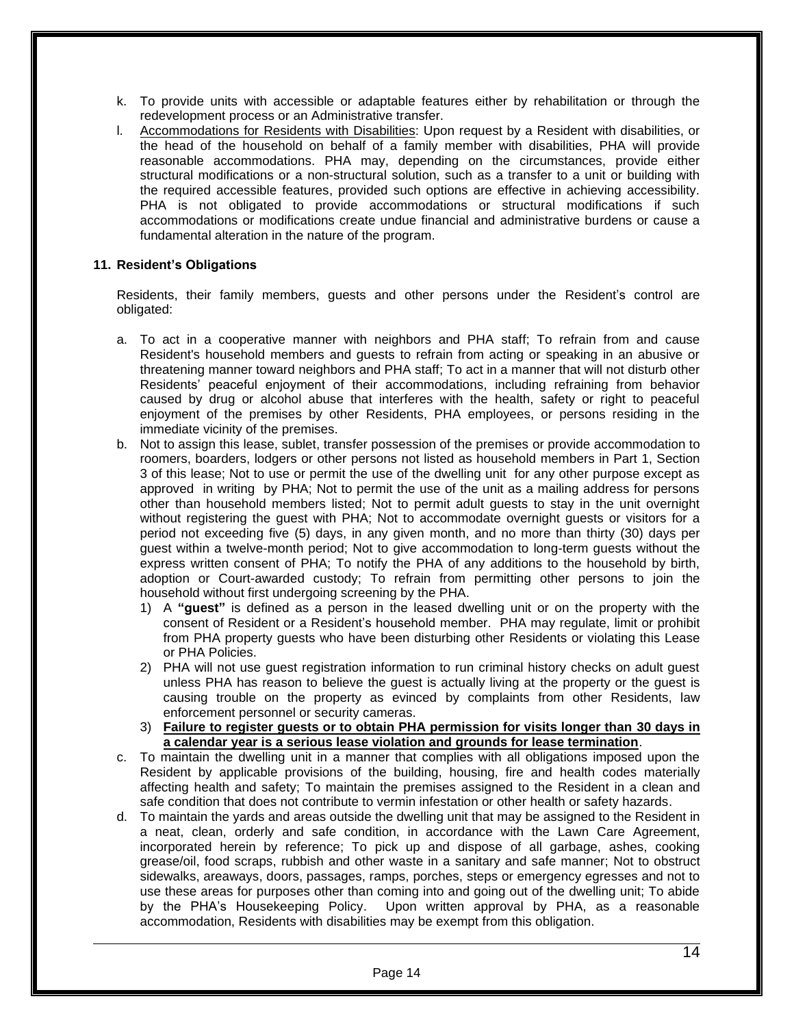- k. To provide units with accessible or adaptable features either by rehabilitation or through the redevelopment process or an Administrative transfer.
- l. Accommodations for Residents with Disabilities: Upon request by a Resident with disabilities, or the head of the household on behalf of a family member with disabilities, PHA will provide reasonable accommodations. PHA may, depending on the circumstances, provide either structural modifications or a non-structural solution, such as a transfer to a unit or building with the required accessible features, provided such options are effective in achieving accessibility. PHA is not obligated to provide accommodations or structural modifications if such accommodations or modifications create undue financial and administrative burdens or cause a fundamental alteration in the nature of the program.

#### **11. Resident's Obligations**

Residents, their family members, guests and other persons under the Resident's control are obligated:

- a. To act in a cooperative manner with neighbors and PHA staff; To refrain from and cause Resident's household members and guests to refrain from acting or speaking in an abusive or threatening manner toward neighbors and PHA staff; To act in a manner that will not disturb other Residents' peaceful enjoyment of their accommodations, including refraining from behavior caused by drug or alcohol abuse that interferes with the health, safety or right to peaceful enjoyment of the premises by other Residents, PHA employees, or persons residing in the immediate vicinity of the premises.
- b. Not to assign this lease, sublet, transfer possession of the premises or provide accommodation to roomers, boarders, lodgers or other persons not listed as household members in Part 1, Section 3 of this lease; Not to use or permit the use of the dwelling unit for any other purpose except as approved in writing by PHA; Not to permit the use of the unit as a mailing address for persons other than household members listed; Not to permit adult guests to stay in the unit overnight without registering the guest with PHA; Not to accommodate overnight guests or visitors for a period not exceeding five (5) days, in any given month, and no more than thirty (30) days per guest within a twelve-month period; Not to give accommodation to long-term guests without the express written consent of PHA; To notify the PHA of any additions to the household by birth, adoption or Court-awarded custody; To refrain from permitting other persons to join the household without first undergoing screening by the PHA.
	- 1) A **"guest"** is defined as a person in the leased dwelling unit or on the property with the consent of Resident or a Resident's household member. PHA may regulate, limit or prohibit from PHA property guests who have been disturbing other Residents or violating this Lease or PHA Policies.
	- 2) PHA will not use guest registration information to run criminal history checks on adult guest unless PHA has reason to believe the guest is actually living at the property or the guest is causing trouble on the property as evinced by complaints from other Residents, law enforcement personnel or security cameras.
	- 3) **Failure to register guests or to obtain PHA permission for visits longer than 30 days in a calendar year is a serious lease violation and grounds for lease termination**.
- c. To maintain the dwelling unit in a manner that complies with all obligations imposed upon the Resident by applicable provisions of the building, housing, fire and health codes materially affecting health and safety; To maintain the premises assigned to the Resident in a clean and safe condition that does not contribute to vermin infestation or other health or safety hazards.
- d. To maintain the yards and areas outside the dwelling unit that may be assigned to the Resident in a neat, clean, orderly and safe condition, in accordance with the Lawn Care Agreement, incorporated herein by reference; To pick up and dispose of all garbage, ashes, cooking grease/oil, food scraps, rubbish and other waste in a sanitary and safe manner; Not to obstruct sidewalks, areaways, doors, passages, ramps, porches, steps or emergency egresses and not to use these areas for purposes other than coming into and going out of the dwelling unit; To abide by the PHA's Housekeeping Policy. Upon written approval by PHA, as a reasonable accommodation, Residents with disabilities may be exempt from this obligation.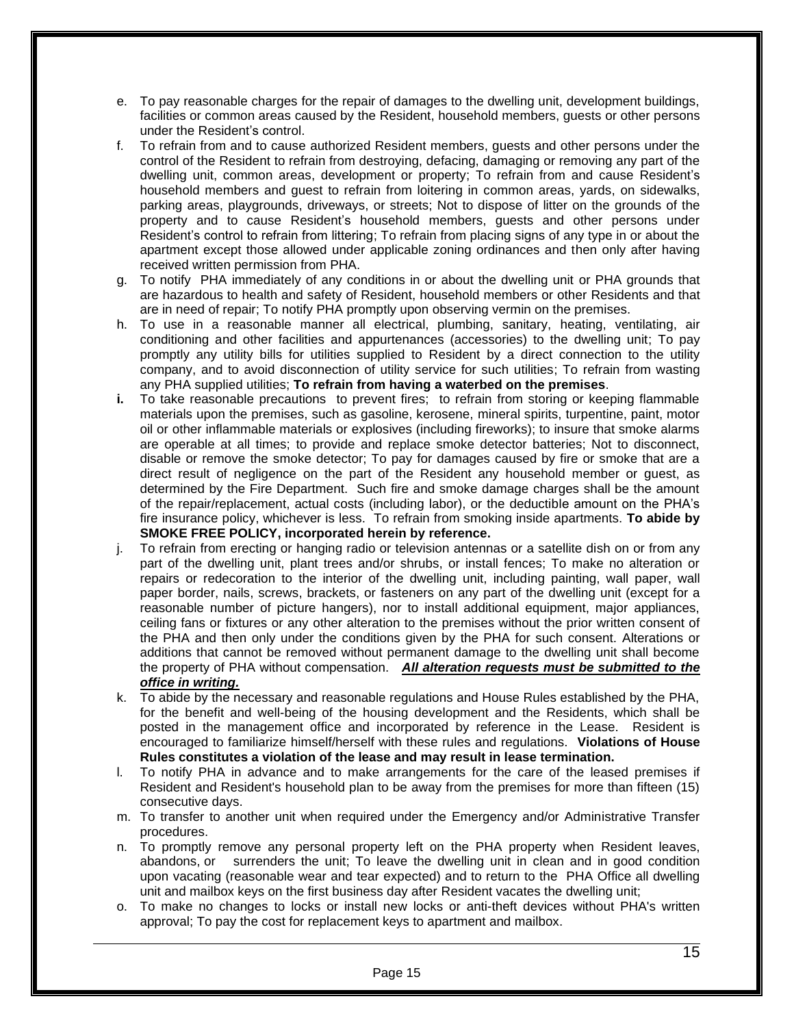- e. To pay reasonable charges for the repair of damages to the dwelling unit, development buildings, facilities or common areas caused by the Resident, household members, guests or other persons under the Resident's control.
- f. To refrain from and to cause authorized Resident members, guests and other persons under the control of the Resident to refrain from destroying, defacing, damaging or removing any part of the dwelling unit, common areas, development or property; To refrain from and cause Resident's household members and guest to refrain from loitering in common areas, yards, on sidewalks, parking areas, playgrounds, driveways, or streets; Not to dispose of litter on the grounds of the property and to cause Resident's household members, guests and other persons under Resident's control to refrain from littering; To refrain from placing signs of any type in or about the apartment except those allowed under applicable zoning ordinances and then only after having received written permission from PHA.
- g. To notify PHA immediately of any conditions in or about the dwelling unit or PHA grounds that are hazardous to health and safety of Resident, household members or other Residents and that are in need of repair; To notify PHA promptly upon observing vermin on the premises.
- h. To use in a reasonable manner all electrical, plumbing, sanitary, heating, ventilating, air conditioning and other facilities and appurtenances (accessories) to the dwelling unit; To pay promptly any utility bills for utilities supplied to Resident by a direct connection to the utility company, and to avoid disconnection of utility service for such utilities; To refrain from wasting any PHA supplied utilities; **To refrain from having a waterbed on the premises**.
- **i.** To take reasonable precautions to prevent fires; to refrain from storing or keeping flammable materials upon the premises, such as gasoline, kerosene, mineral spirits, turpentine, paint, motor oil or other inflammable materials or explosives (including fireworks); to insure that smoke alarms are operable at all times; to provide and replace smoke detector batteries; Not to disconnect, disable or remove the smoke detector; To pay for damages caused by fire or smoke that are a direct result of negligence on the part of the Resident any household member or guest, as determined by the Fire Department. Such fire and smoke damage charges shall be the amount of the repair/replacement, actual costs (including labor), or the deductible amount on the PHA's fire insurance policy, whichever is less. To refrain from smoking inside apartments. **To abide by SMOKE FREE POLICY, incorporated herein by reference.**
- j. To refrain from erecting or hanging radio or television antennas or a satellite dish on or from any part of the dwelling unit, plant trees and/or shrubs, or install fences; To make no alteration or repairs or redecoration to the interior of the dwelling unit, including painting, wall paper, wall paper border, nails, screws, brackets, or fasteners on any part of the dwelling unit (except for a reasonable number of picture hangers), nor to install additional equipment, major appliances, ceiling fans or fixtures or any other alteration to the premises without the prior written consent of the PHA and then only under the conditions given by the PHA for such consent. Alterations or additions that cannot be removed without permanent damage to the dwelling unit shall become the property of PHA without compensation. *All alteration requests must be submitted to the office in writing.*
- k. To abide by the necessary and reasonable regulations and House Rules established by the PHA, for the benefit and well-being of the housing development and the Residents, which shall be posted in the management office and incorporated by reference in the Lease. Resident is encouraged to familiarize himself/herself with these rules and regulations. **Violations of House Rules constitutes a violation of the lease and may result in lease termination.**
- l. To notify PHA in advance and to make arrangements for the care of the leased premises if Resident and Resident's household plan to be away from the premises for more than fifteen (15) consecutive days.
- m. To transfer to another unit when required under the Emergency and/or Administrative Transfer procedures.
- n. To promptly remove any personal property left on the PHA property when Resident leaves, abandons, or surrenders the unit; To leave the dwelling unit in clean and in good condition upon vacating (reasonable wear and tear expected) and to return to the PHA Office all dwelling unit and mailbox keys on the first business day after Resident vacates the dwelling unit;
- o. To make no changes to locks or install new locks or anti-theft devices without PHA's written approval; To pay the cost for replacement keys to apartment and mailbox.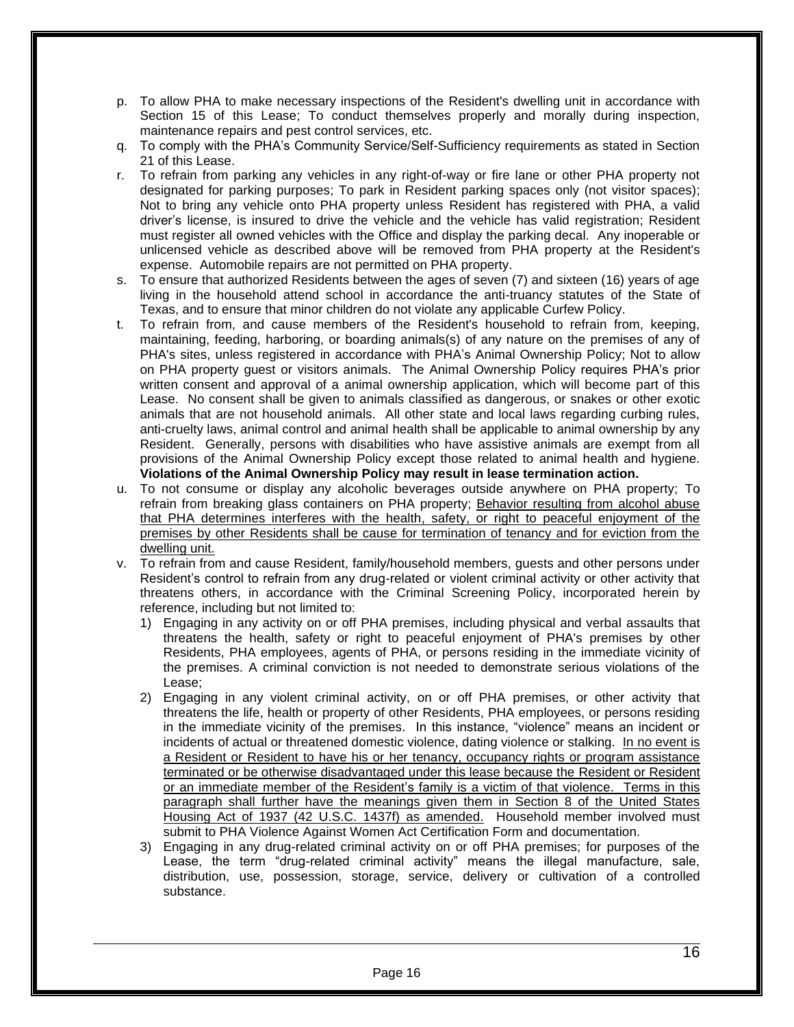- p. To allow PHA to make necessary inspections of the Resident's dwelling unit in accordance with Section 15 of this Lease; To conduct themselves properly and morally during inspection, maintenance repairs and pest control services, etc.
- q. To comply with the PHA's Community Service/Self-Sufficiency requirements as stated in Section 21 of this Lease.
- r. To refrain from parking any vehicles in any right-of-way or fire lane or other PHA property not designated for parking purposes; To park in Resident parking spaces only (not visitor spaces); Not to bring any vehicle onto PHA property unless Resident has registered with PHA, a valid driver's license, is insured to drive the vehicle and the vehicle has valid registration; Resident must register all owned vehicles with the Office and display the parking decal. Any inoperable or unlicensed vehicle as described above will be removed from PHA property at the Resident's expense. Automobile repairs are not permitted on PHA property.
- s. To ensure that authorized Residents between the ages of seven (7) and sixteen (16) years of age living in the household attend school in accordance the anti-truancy statutes of the State of Texas, and to ensure that minor children do not violate any applicable Curfew Policy.
- t. To refrain from, and cause members of the Resident's household to refrain from, keeping, maintaining, feeding, harboring, or boarding animals(s) of any nature on the premises of any of PHA's sites, unless registered in accordance with PHA's Animal Ownership Policy; Not to allow on PHA property guest or visitors animals. The Animal Ownership Policy requires PHA's prior written consent and approval of a animal ownership application, which will become part of this Lease. No consent shall be given to animals classified as dangerous, or snakes or other exotic animals that are not household animals. All other state and local laws regarding curbing rules, anti-cruelty laws, animal control and animal health shall be applicable to animal ownership by any Resident. Generally, persons with disabilities who have assistive animals are exempt from all provisions of the Animal Ownership Policy except those related to animal health and hygiene. **Violations of the Animal Ownership Policy may result in lease termination action.**
- u. To not consume or display any alcoholic beverages outside anywhere on PHA property; To refrain from breaking glass containers on PHA property; Behavior resulting from alcohol abuse that PHA determines interferes with the health, safety, or right to peaceful enjoyment of the premises by other Residents shall be cause for termination of tenancy and for eviction from the dwelling unit.
- v. To refrain from and cause Resident, family/household members, guests and other persons under Resident's control to refrain from any drug-related or violent criminal activity or other activity that threatens others, in accordance with the Criminal Screening Policy, incorporated herein by reference, including but not limited to:
	- 1) Engaging in any activity on or off PHA premises, including physical and verbal assaults that threatens the health, safety or right to peaceful enjoyment of PHA's premises by other Residents, PHA employees, agents of PHA, or persons residing in the immediate vicinity of the premises. A criminal conviction is not needed to demonstrate serious violations of the Lease;
	- 2) Engaging in any violent criminal activity, on or off PHA premises, or other activity that threatens the life, health or property of other Residents, PHA employees, or persons residing in the immediate vicinity of the premises. In this instance, "violence" means an incident or incidents of actual or threatened domestic violence, dating violence or stalking. In no event is a Resident or Resident to have his or her tenancy, occupancy rights or program assistance terminated or be otherwise disadvantaged under this lease because the Resident or Resident or an immediate member of the Resident's family is a victim of that violence. Terms in this paragraph shall further have the meanings given them in Section 8 of the United States Housing Act of 1937 (42 U.S.C. 1437f) as amended. Household member involved must submit to PHA Violence Against Women Act Certification Form and documentation.
	- 3) Engaging in any drug-related criminal activity on or off PHA premises; for purposes of the Lease, the term "drug-related criminal activity" means the illegal manufacture, sale, distribution, use, possession, storage, service, delivery or cultivation of a controlled substance.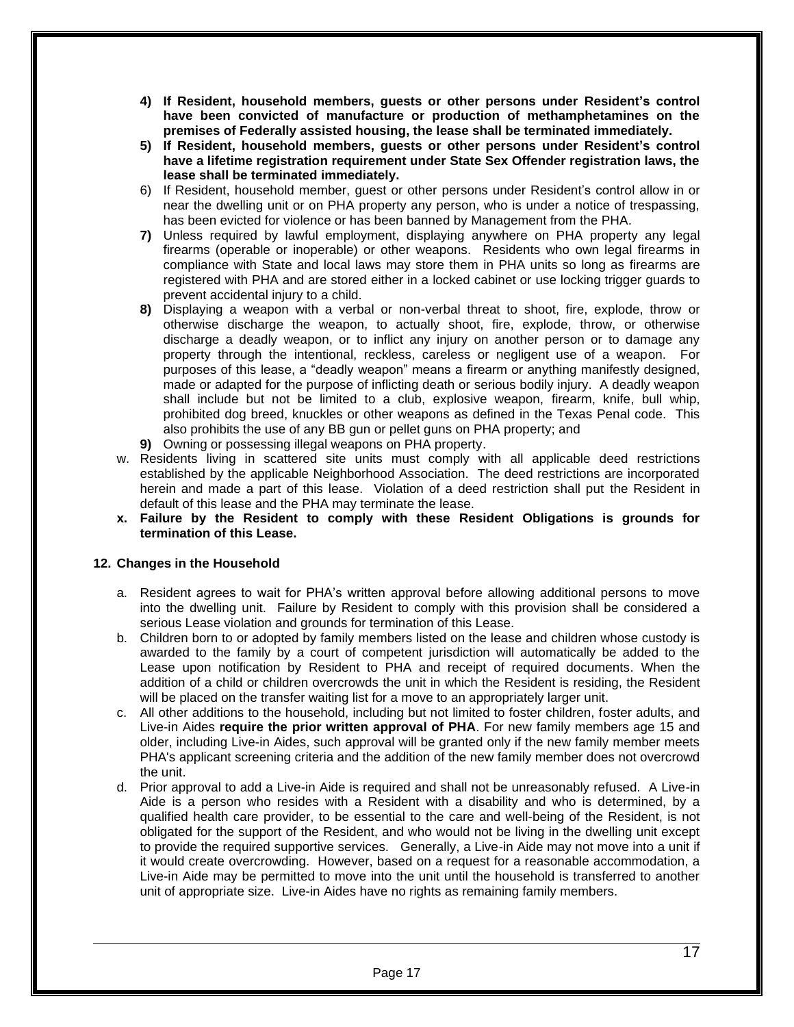- **4) If Resident, household members, guests or other persons under Resident's control have been convicted of manufacture or production of methamphetamines on the premises of Federally assisted housing, the lease shall be terminated immediately.**
- **5) If Resident, household members, guests or other persons under Resident's control have a lifetime registration requirement under State Sex Offender registration laws, the lease shall be terminated immediately.**
- 6) If Resident, household member, guest or other persons under Resident's control allow in or near the dwelling unit or on PHA property any person, who is under a notice of trespassing, has been evicted for violence or has been banned by Management from the PHA.
- **7)** Unless required by lawful employment, displaying anywhere on PHA property any legal firearms (operable or inoperable) or other weapons. Residents who own legal firearms in compliance with State and local laws may store them in PHA units so long as firearms are registered with PHA and are stored either in a locked cabinet or use locking trigger guards to prevent accidental injury to a child.
- **8)** Displaying a weapon with a verbal or non-verbal threat to shoot, fire, explode, throw or otherwise discharge the weapon, to actually shoot, fire, explode, throw, or otherwise discharge a deadly weapon, or to inflict any injury on another person or to damage any property through the intentional, reckless, careless or negligent use of a weapon. For purposes of this lease, a "deadly weapon" means a firearm or anything manifestly designed, made or adapted for the purpose of inflicting death or serious bodily injury. A deadly weapon shall include but not be limited to a club, explosive weapon, firearm, knife, bull whip, prohibited dog breed, knuckles or other weapons as defined in the Texas Penal code. This also prohibits the use of any BB gun or pellet guns on PHA property; and
- **9)** Owning or possessing illegal weapons on PHA property.
- w. Residents living in scattered site units must comply with all applicable deed restrictions established by the applicable Neighborhood Association. The deed restrictions are incorporated herein and made a part of this lease. Violation of a deed restriction shall put the Resident in default of this lease and the PHA may terminate the lease.
- **x. Failure by the Resident to comply with these Resident Obligations is grounds for termination of this Lease.**

## **12. Changes in the Household**

- a. Resident agrees to wait for PHA's written approval before allowing additional persons to move into the dwelling unit. Failure by Resident to comply with this provision shall be considered a serious Lease violation and grounds for termination of this Lease.
- b. Children born to or adopted by family members listed on the lease and children whose custody is awarded to the family by a court of competent jurisdiction will automatically be added to the Lease upon notification by Resident to PHA and receipt of required documents. When the addition of a child or children overcrowds the unit in which the Resident is residing, the Resident will be placed on the transfer waiting list for a move to an appropriately larger unit.
- c. All other additions to the household, including but not limited to foster children, foster adults, and Live-in Aides **require the prior written approval of PHA**. For new family members age 15 and older, including Live-in Aides, such approval will be granted only if the new family member meets PHA's applicant screening criteria and the addition of the new family member does not overcrowd the unit.
- d. Prior approval to add a Live-in Aide is required and shall not be unreasonably refused. A Live-in Aide is a person who resides with a Resident with a disability and who is determined, by a qualified health care provider, to be essential to the care and well-being of the Resident, is not obligated for the support of the Resident, and who would not be living in the dwelling unit except to provide the required supportive services. Generally, a Live-in Aide may not move into a unit if it would create overcrowding. However, based on a request for a reasonable accommodation, a Live-in Aide may be permitted to move into the unit until the household is transferred to another unit of appropriate size. Live-in Aides have no rights as remaining family members.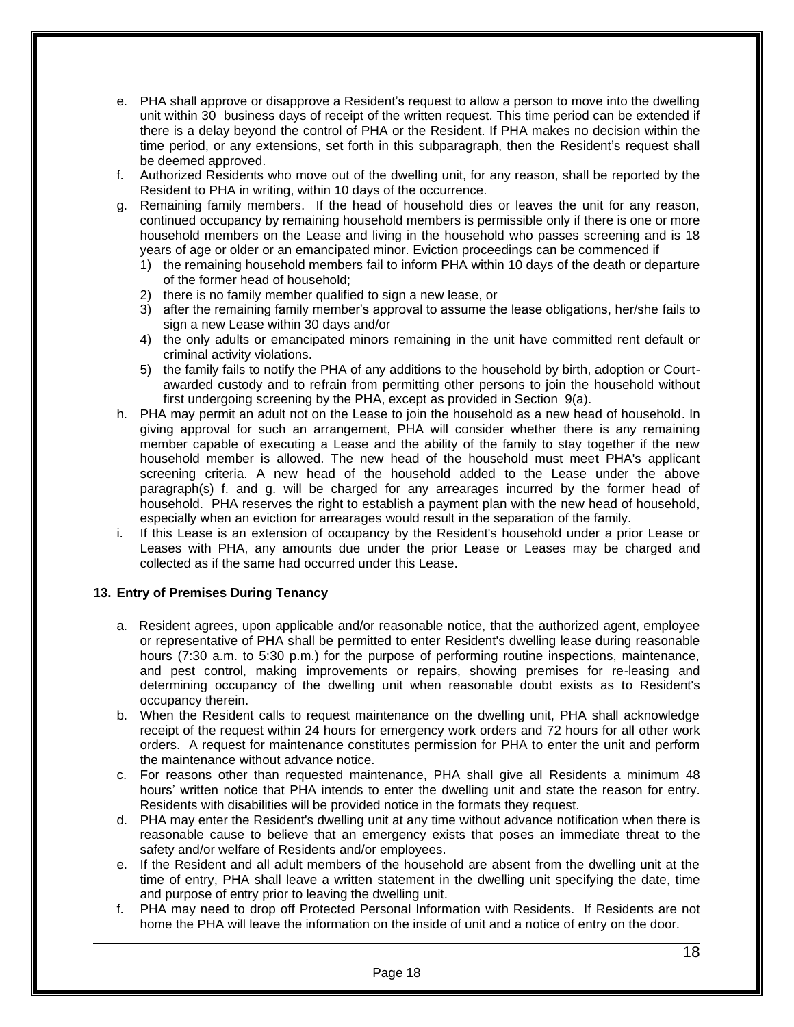- e. PHA shall approve or disapprove a Resident's request to allow a person to move into the dwelling unit within 30 business days of receipt of the written request. This time period can be extended if there is a delay beyond the control of PHA or the Resident. If PHA makes no decision within the time period, or any extensions, set forth in this subparagraph, then the Resident's request shall be deemed approved.
- f. Authorized Residents who move out of the dwelling unit, for any reason, shall be reported by the Resident to PHA in writing, within 10 days of the occurrence.
- g. Remaining family members. If the head of household dies or leaves the unit for any reason, continued occupancy by remaining household members is permissible only if there is one or more household members on the Lease and living in the household who passes screening and is 18 years of age or older or an emancipated minor. Eviction proceedings can be commenced if
	- 1) the remaining household members fail to inform PHA within 10 days of the death or departure of the former head of household;
	- 2) there is no family member qualified to sign a new lease, or
	- 3) after the remaining family member's approval to assume the lease obligations, her/she fails to sign a new Lease within 30 days and/or
	- 4) the only adults or emancipated minors remaining in the unit have committed rent default or criminal activity violations.
	- 5) the family fails to notify the PHA of any additions to the household by birth, adoption or Courtawarded custody and to refrain from permitting other persons to join the household without first undergoing screening by the PHA, except as provided in Section 9(a).
- h. PHA may permit an adult not on the Lease to join the household as a new head of household. In giving approval for such an arrangement, PHA will consider whether there is any remaining member capable of executing a Lease and the ability of the family to stay together if the new household member is allowed. The new head of the household must meet PHA's applicant screening criteria. A new head of the household added to the Lease under the above paragraph(s) f. and g. will be charged for any arrearages incurred by the former head of household. PHA reserves the right to establish a payment plan with the new head of household, especially when an eviction for arrearages would result in the separation of the family.
- i. If this Lease is an extension of occupancy by the Resident's household under a prior Lease or Leases with PHA, any amounts due under the prior Lease or Leases may be charged and collected as if the same had occurred under this Lease.

## **13. Entry of Premises During Tenancy**

- a. Resident agrees, upon applicable and/or reasonable notice, that the authorized agent, employee or representative of PHA shall be permitted to enter Resident's dwelling lease during reasonable hours (7:30 a.m. to 5:30 p.m.) for the purpose of performing routine inspections, maintenance, and pest control, making improvements or repairs, showing premises for re-leasing and determining occupancy of the dwelling unit when reasonable doubt exists as to Resident's occupancy therein.
- b. When the Resident calls to request maintenance on the dwelling unit, PHA shall acknowledge receipt of the request within 24 hours for emergency work orders and 72 hours for all other work orders. A request for maintenance constitutes permission for PHA to enter the unit and perform the maintenance without advance notice.
- c. For reasons other than requested maintenance, PHA shall give all Residents a minimum 48 hours' written notice that PHA intends to enter the dwelling unit and state the reason for entry. Residents with disabilities will be provided notice in the formats they request.
- d. PHA may enter the Resident's dwelling unit at any time without advance notification when there is reasonable cause to believe that an emergency exists that poses an immediate threat to the safety and/or welfare of Residents and/or employees.
- e. If the Resident and all adult members of the household are absent from the dwelling unit at the time of entry, PHA shall leave a written statement in the dwelling unit specifying the date, time and purpose of entry prior to leaving the dwelling unit.
- f. PHA may need to drop off Protected Personal Information with Residents. If Residents are not home the PHA will leave the information on the inside of unit and a notice of entry on the door.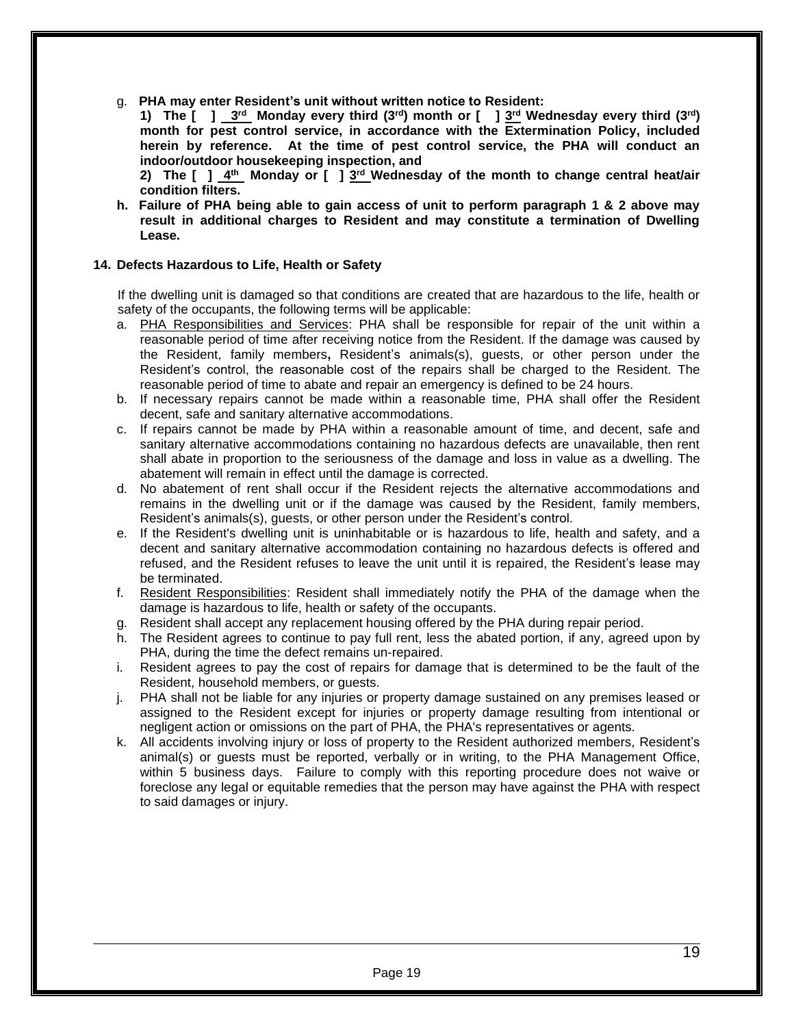g. **PHA may enter Resident's unit without written notice to Resident:**

**1) The [ ] 3 rd Monday every third (3rd) month or [ ] 3 rd Wednesday every third (3rd) month for pest control service, in accordance with the Extermination Policy, included herein by reference. At the time of pest control service, the PHA will conduct an indoor/outdoor housekeeping inspection, and**

**2) The [ ] 4 th Monday or [ ] 3 rd Wednesday of the month to change central heat/air condition filters.**

**h. Failure of PHA being able to gain access of unit to perform paragraph 1 & 2 above may result in additional charges to Resident and may constitute a termination of Dwelling Lease.**

#### **14. Defects Hazardous to Life, Health or Safety**

If the dwelling unit is damaged so that conditions are created that are hazardous to the life, health or safety of the occupants, the following terms will be applicable:

- a. PHA Responsibilities and Services: PHA shall be responsible for repair of the unit within a reasonable period of time after receiving notice from the Resident. If the damage was caused by the Resident, family members**,** Resident's animals(s), guests, or other person under the Resident's control, the reasonable cost of the repairs shall be charged to the Resident. The reasonable period of time to abate and repair an emergency is defined to be 24 hours.
- b. If necessary repairs cannot be made within a reasonable time, PHA shall offer the Resident decent, safe and sanitary alternative accommodations.
- c. If repairs cannot be made by PHA within a reasonable amount of time, and decent, safe and sanitary alternative accommodations containing no hazardous defects are unavailable, then rent shall abate in proportion to the seriousness of the damage and loss in value as a dwelling. The abatement will remain in effect until the damage is corrected.
- d. No abatement of rent shall occur if the Resident rejects the alternative accommodations and remains in the dwelling unit or if the damage was caused by the Resident, family members, Resident's animals(s), guests, or other person under the Resident's control.
- e. If the Resident's dwelling unit is uninhabitable or is hazardous to life, health and safety, and a decent and sanitary alternative accommodation containing no hazardous defects is offered and refused, and the Resident refuses to leave the unit until it is repaired, the Resident's lease may be terminated.
- f. Resident Responsibilities: Resident shall immediately notify the PHA of the damage when the damage is hazardous to life, health or safety of the occupants.
- g. Resident shall accept any replacement housing offered by the PHA during repair period.
- h. The Resident agrees to continue to pay full rent, less the abated portion, if any, agreed upon by PHA, during the time the defect remains un-repaired.
- i. Resident agrees to pay the cost of repairs for damage that is determined to be the fault of the Resident, household members, or guests.
- j. PHA shall not be liable for any injuries or property damage sustained on any premises leased or assigned to the Resident except for injuries or property damage resulting from intentional or negligent action or omissions on the part of PHA, the PHA's representatives or agents.
- k. All accidents involving injury or loss of property to the Resident authorized members, Resident's animal(s) or guests must be reported, verbally or in writing, to the PHA Management Office, within 5 business days. Failure to comply with this reporting procedure does not waive or foreclose any legal or equitable remedies that the person may have against the PHA with respect to said damages or injury.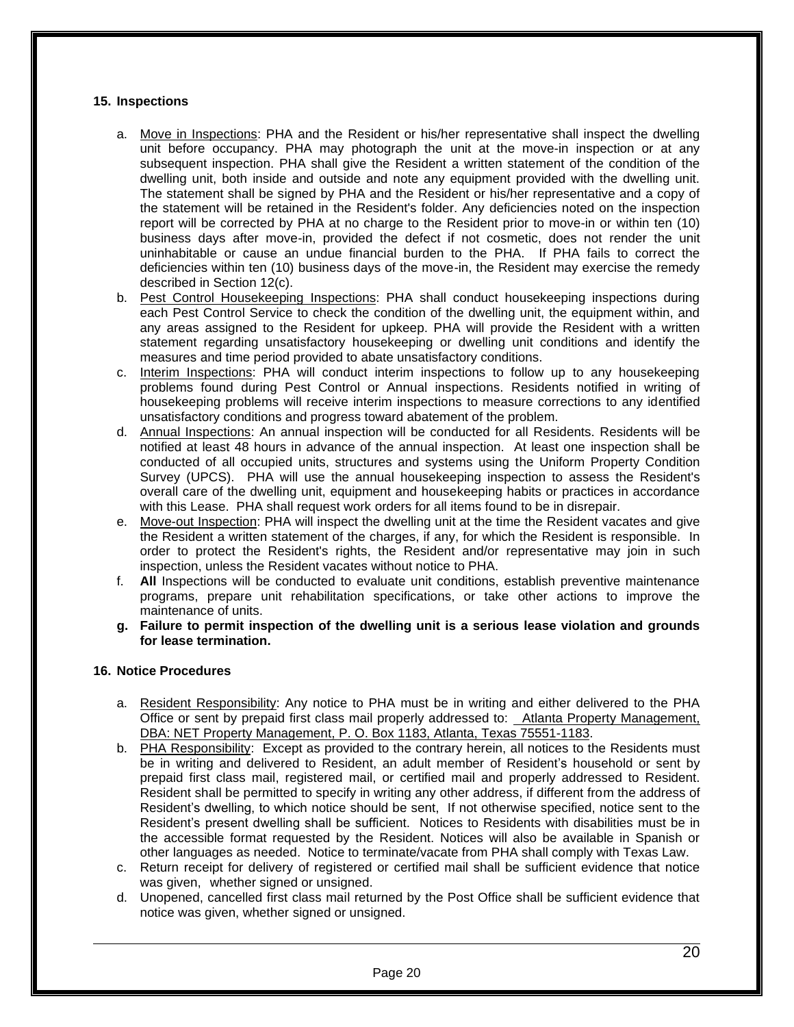## **15. Inspections**

- a. Move in Inspections: PHA and the Resident or his/her representative shall inspect the dwelling unit before occupancy. PHA may photograph the unit at the move-in inspection or at any subsequent inspection. PHA shall give the Resident a written statement of the condition of the dwelling unit, both inside and outside and note any equipment provided with the dwelling unit. The statement shall be signed by PHA and the Resident or his/her representative and a copy of the statement will be retained in the Resident's folder. Any deficiencies noted on the inspection report will be corrected by PHA at no charge to the Resident prior to move-in or within ten (10) business days after move-in, provided the defect if not cosmetic, does not render the unit uninhabitable or cause an undue financial burden to the PHA. If PHA fails to correct the deficiencies within ten (10) business days of the move-in, the Resident may exercise the remedy described in Section 12(c).
- b. Pest Control Housekeeping Inspections: PHA shall conduct housekeeping inspections during each Pest Control Service to check the condition of the dwelling unit, the equipment within, and any areas assigned to the Resident for upkeep. PHA will provide the Resident with a written statement regarding unsatisfactory housekeeping or dwelling unit conditions and identify the measures and time period provided to abate unsatisfactory conditions.
- c. Interim Inspections: PHA will conduct interim inspections to follow up to any housekeeping problems found during Pest Control or Annual inspections. Residents notified in writing of housekeeping problems will receive interim inspections to measure corrections to any identified unsatisfactory conditions and progress toward abatement of the problem.
- d. Annual Inspections: An annual inspection will be conducted for all Residents. Residents will be notified at least 48 hours in advance of the annual inspection. At least one inspection shall be conducted of all occupied units, structures and systems using the Uniform Property Condition Survey (UPCS). PHA will use the annual housekeeping inspection to assess the Resident's overall care of the dwelling unit, equipment and housekeeping habits or practices in accordance with this Lease. PHA shall request work orders for all items found to be in disrepair.
- e. Move-out Inspection: PHA will inspect the dwelling unit at the time the Resident vacates and give the Resident a written statement of the charges, if any, for which the Resident is responsible. In order to protect the Resident's rights, the Resident and/or representative may join in such inspection, unless the Resident vacates without notice to PHA.
- f. **All** Inspections will be conducted to evaluate unit conditions, establish preventive maintenance programs, prepare unit rehabilitation specifications, or take other actions to improve the maintenance of units.
- **g. Failure to permit inspection of the dwelling unit is a serious lease violation and grounds for lease termination.**

#### **16. Notice Procedures**

- a. Resident Responsibility: Any notice to PHA must be in writing and either delivered to the PHA Office or sent by prepaid first class mail properly addressed to: Atlanta Property Management, DBA: NET Property Management, P. O. Box 1183, Atlanta, Texas 75551-1183.
- b. PHA Responsibility: Except as provided to the contrary herein, all notices to the Residents must be in writing and delivered to Resident, an adult member of Resident's household or sent by prepaid first class mail, registered mail, or certified mail and properly addressed to Resident. Resident shall be permitted to specify in writing any other address, if different from the address of Resident's dwelling, to which notice should be sent, If not otherwise specified, notice sent to the Resident's present dwelling shall be sufficient. Notices to Residents with disabilities must be in the accessible format requested by the Resident. Notices will also be available in Spanish or other languages as needed. Notice to terminate/vacate from PHA shall comply with Texas Law.
- c. Return receipt for delivery of registered or certified mail shall be sufficient evidence that notice was given, whether signed or unsigned.
- d. Unopened, cancelled first class mail returned by the Post Office shall be sufficient evidence that notice was given, whether signed or unsigned.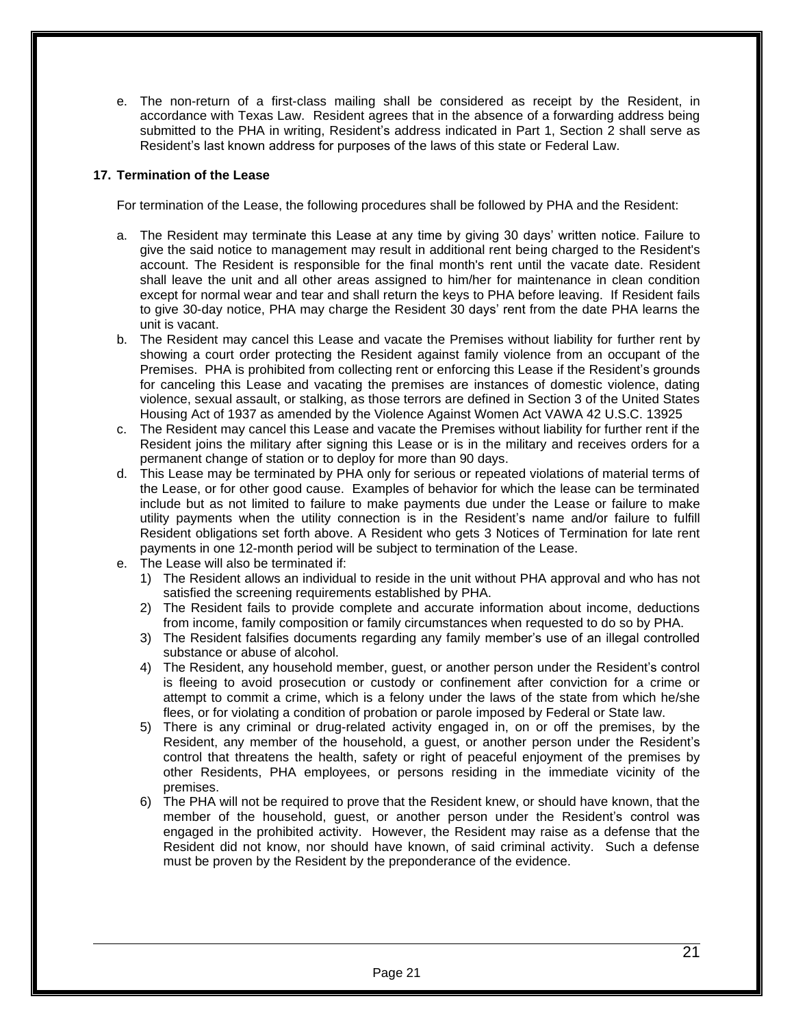e. The non-return of a first-class mailing shall be considered as receipt by the Resident, in accordance with Texas Law. Resident agrees that in the absence of a forwarding address being submitted to the PHA in writing, Resident's address indicated in Part 1, Section 2 shall serve as Resident's last known address for purposes of the laws of this state or Federal Law.

## **17. Termination of the Lease**

For termination of the Lease, the following procedures shall be followed by PHA and the Resident:

- a. The Resident may terminate this Lease at any time by giving 30 days' written notice. Failure to give the said notice to management may result in additional rent being charged to the Resident's account. The Resident is responsible for the final month's rent until the vacate date. Resident shall leave the unit and all other areas assigned to him/her for maintenance in clean condition except for normal wear and tear and shall return the keys to PHA before leaving. If Resident fails to give 30-day notice, PHA may charge the Resident 30 days' rent from the date PHA learns the unit is vacant.
- b. The Resident may cancel this Lease and vacate the Premises without liability for further rent by showing a court order protecting the Resident against family violence from an occupant of the Premises. PHA is prohibited from collecting rent or enforcing this Lease if the Resident's grounds for canceling this Lease and vacating the premises are instances of domestic violence, dating violence, sexual assault, or stalking, as those terrors are defined in Section 3 of the United States Housing Act of 1937 as amended by the Violence Against Women Act VAWA 42 U.S.C. 13925
- c. The Resident may cancel this Lease and vacate the Premises without liability for further rent if the Resident joins the military after signing this Lease or is in the military and receives orders for a permanent change of station or to deploy for more than 90 days.
- d. This Lease may be terminated by PHA only for serious or repeated violations of material terms of the Lease, or for other good cause. Examples of behavior for which the lease can be terminated include but as not limited to failure to make payments due under the Lease or failure to make utility payments when the utility connection is in the Resident's name and/or failure to fulfill Resident obligations set forth above. A Resident who gets 3 Notices of Termination for late rent payments in one 12-month period will be subject to termination of the Lease.
- e. The Lease will also be terminated if:
	- 1) The Resident allows an individual to reside in the unit without PHA approval and who has not satisfied the screening requirements established by PHA.
	- 2) The Resident fails to provide complete and accurate information about income, deductions from income, family composition or family circumstances when requested to do so by PHA.
	- 3) The Resident falsifies documents regarding any family member's use of an illegal controlled substance or abuse of alcohol.
	- 4) The Resident, any household member, guest, or another person under the Resident's control is fleeing to avoid prosecution or custody or confinement after conviction for a crime or attempt to commit a crime, which is a felony under the laws of the state from which he/she flees, or for violating a condition of probation or parole imposed by Federal or State law.
	- 5) There is any criminal or drug-related activity engaged in, on or off the premises, by the Resident, any member of the household, a guest, or another person under the Resident's control that threatens the health, safety or right of peaceful enjoyment of the premises by other Residents, PHA employees, or persons residing in the immediate vicinity of the premises.
	- 6) The PHA will not be required to prove that the Resident knew, or should have known, that the member of the household, guest, or another person under the Resident's control was engaged in the prohibited activity. However, the Resident may raise as a defense that the Resident did not know, nor should have known, of said criminal activity. Such a defense must be proven by the Resident by the preponderance of the evidence.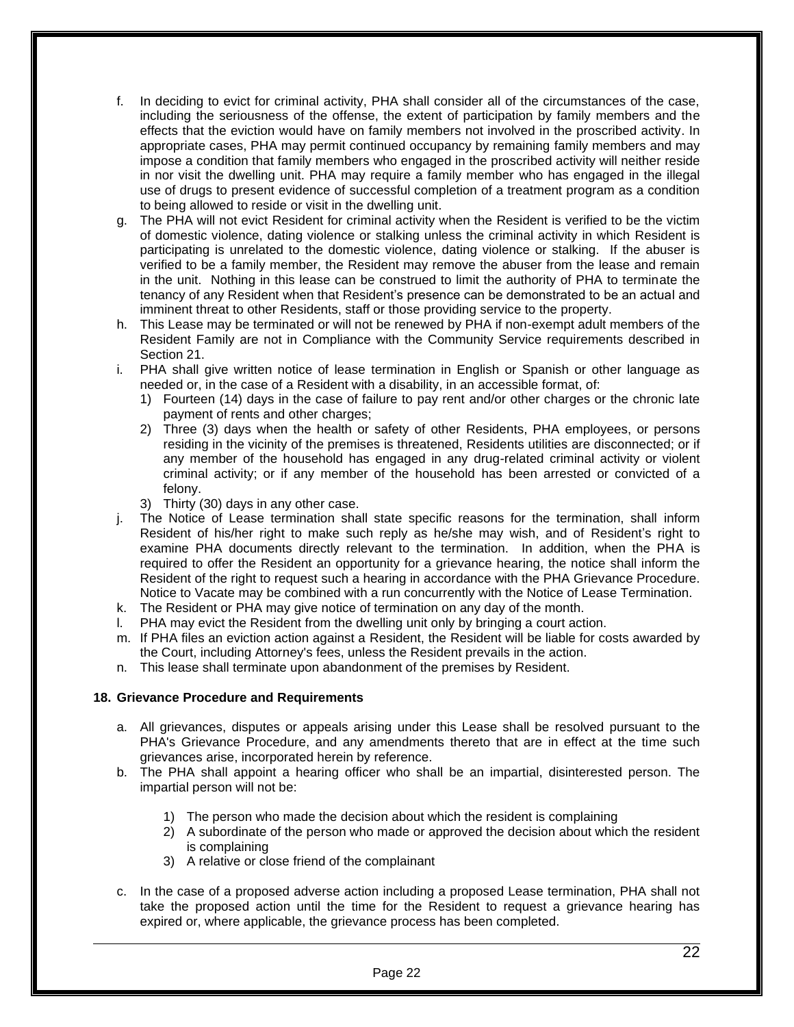- f. In deciding to evict for criminal activity, PHA shall consider all of the circumstances of the case, including the seriousness of the offense, the extent of participation by family members and the effects that the eviction would have on family members not involved in the proscribed activity. In appropriate cases, PHA may permit continued occupancy by remaining family members and may impose a condition that family members who engaged in the proscribed activity will neither reside in nor visit the dwelling unit. PHA may require a family member who has engaged in the illegal use of drugs to present evidence of successful completion of a treatment program as a condition to being allowed to reside or visit in the dwelling unit.
- g. The PHA will not evict Resident for criminal activity when the Resident is verified to be the victim of domestic violence, dating violence or stalking unless the criminal activity in which Resident is participating is unrelated to the domestic violence, dating violence or stalking. If the abuser is verified to be a family member, the Resident may remove the abuser from the lease and remain in the unit. Nothing in this lease can be construed to limit the authority of PHA to terminate the tenancy of any Resident when that Resident's presence can be demonstrated to be an actual and imminent threat to other Residents, staff or those providing service to the property.
- h. This Lease may be terminated or will not be renewed by PHA if non-exempt adult members of the Resident Family are not in Compliance with the Community Service requirements described in Section 21.
- i. PHA shall give written notice of lease termination in English or Spanish or other language as needed or, in the case of a Resident with a disability, in an accessible format, of:
	- 1) Fourteen (14) days in the case of failure to pay rent and/or other charges or the chronic late payment of rents and other charges;
	- 2) Three (3) days when the health or safety of other Residents, PHA employees, or persons residing in the vicinity of the premises is threatened, Residents utilities are disconnected; or if any member of the household has engaged in any drug-related criminal activity or violent criminal activity; or if any member of the household has been arrested or convicted of a felony.
	- 3) Thirty (30) days in any other case.
- j. The Notice of Lease termination shall state specific reasons for the termination, shall inform Resident of his/her right to make such reply as he/she may wish, and of Resident's right to examine PHA documents directly relevant to the termination. In addition, when the PHA is required to offer the Resident an opportunity for a grievance hearing, the notice shall inform the Resident of the right to request such a hearing in accordance with the PHA Grievance Procedure. Notice to Vacate may be combined with a run concurrently with the Notice of Lease Termination.
- k. The Resident or PHA may give notice of termination on any day of the month.
- l. PHA may evict the Resident from the dwelling unit only by bringing a court action.
- m. If PHA files an eviction action against a Resident, the Resident will be liable for costs awarded by the Court, including Attorney's fees, unless the Resident prevails in the action.
- n. This lease shall terminate upon abandonment of the premises by Resident.

#### **18. Grievance Procedure and Requirements**

- a. All grievances, disputes or appeals arising under this Lease shall be resolved pursuant to the PHA's Grievance Procedure, and any amendments thereto that are in effect at the time such grievances arise, incorporated herein by reference.
- b. The PHA shall appoint a hearing officer who shall be an impartial, disinterested person. The impartial person will not be:
	- 1) The person who made the decision about which the resident is complaining
	- 2) A subordinate of the person who made or approved the decision about which the resident is complaining
	- 3) A relative or close friend of the complainant
- c. In the case of a proposed adverse action including a proposed Lease termination, PHA shall not take the proposed action until the time for the Resident to request a grievance hearing has expired or, where applicable, the grievance process has been completed.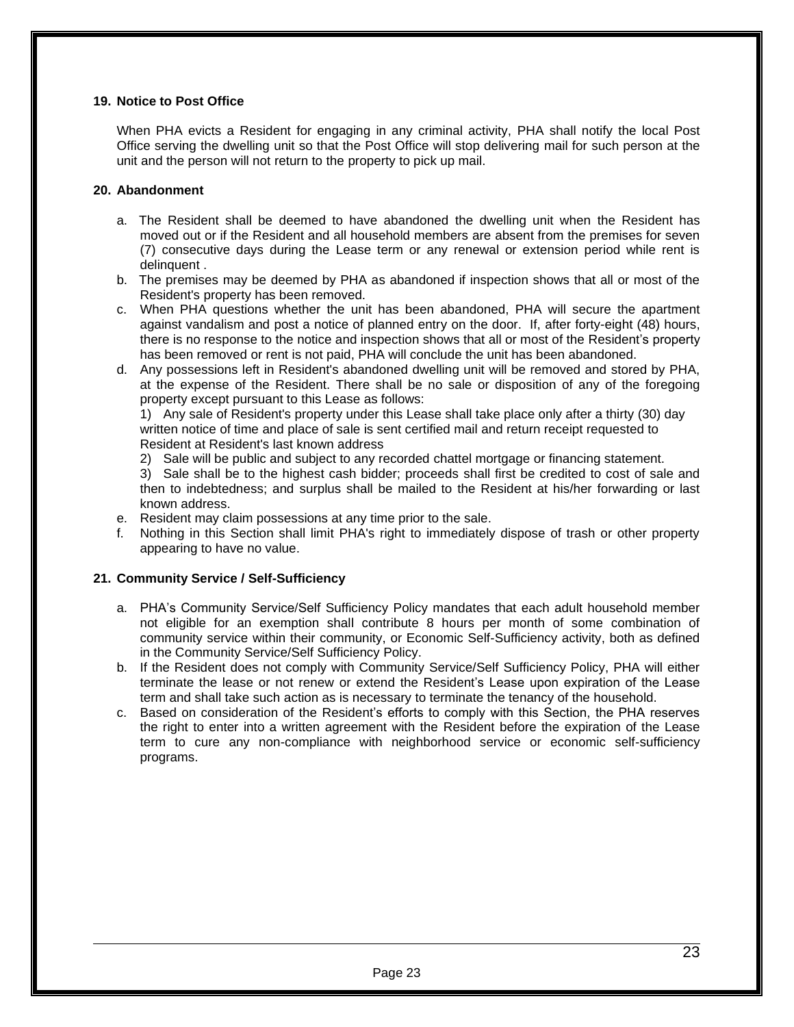## **19. Notice to Post Office**

When PHA evicts a Resident for engaging in any criminal activity, PHA shall notify the local Post Office serving the dwelling unit so that the Post Office will stop delivering mail for such person at the unit and the person will not return to the property to pick up mail.

#### **20. Abandonment**

- a. The Resident shall be deemed to have abandoned the dwelling unit when the Resident has moved out or if the Resident and all household members are absent from the premises for seven (7) consecutive days during the Lease term or any renewal or extension period while rent is delinquent .
- b. The premises may be deemed by PHA as abandoned if inspection shows that all or most of the Resident's property has been removed.
- c. When PHA questions whether the unit has been abandoned, PHA will secure the apartment against vandalism and post a notice of planned entry on the door. If, after forty-eight (48) hours, there is no response to the notice and inspection shows that all or most of the Resident's property has been removed or rent is not paid, PHA will conclude the unit has been abandoned.
- d. Any possessions left in Resident's abandoned dwelling unit will be removed and stored by PHA, at the expense of the Resident. There shall be no sale or disposition of any of the foregoing property except pursuant to this Lease as follows:

1) Any sale of Resident's property under this Lease shall take place only after a thirty (30) day written notice of time and place of sale is sent certified mail and return receipt requested to Resident at Resident's last known address

2) Sale will be public and subject to any recorded chattel mortgage or financing statement.

3) Sale shall be to the highest cash bidder; proceeds shall first be credited to cost of sale and then to indebtedness; and surplus shall be mailed to the Resident at his/her forwarding or last known address.

- e. Resident may claim possessions at any time prior to the sale.
- f. Nothing in this Section shall limit PHA's right to immediately dispose of trash or other property appearing to have no value.

#### **21. Community Service / Self-Sufficiency**

- a. PHA's Community Service/Self Sufficiency Policy mandates that each adult household member not eligible for an exemption shall contribute 8 hours per month of some combination of community service within their community, or Economic Self-Sufficiency activity, both as defined in the Community Service/Self Sufficiency Policy.
- b. If the Resident does not comply with Community Service/Self Sufficiency Policy, PHA will either terminate the lease or not renew or extend the Resident's Lease upon expiration of the Lease term and shall take such action as is necessary to terminate the tenancy of the household.
- c. Based on consideration of the Resident's efforts to comply with this Section, the PHA reserves the right to enter into a written agreement with the Resident before the expiration of the Lease term to cure any non-compliance with neighborhood service or economic self-sufficiency programs.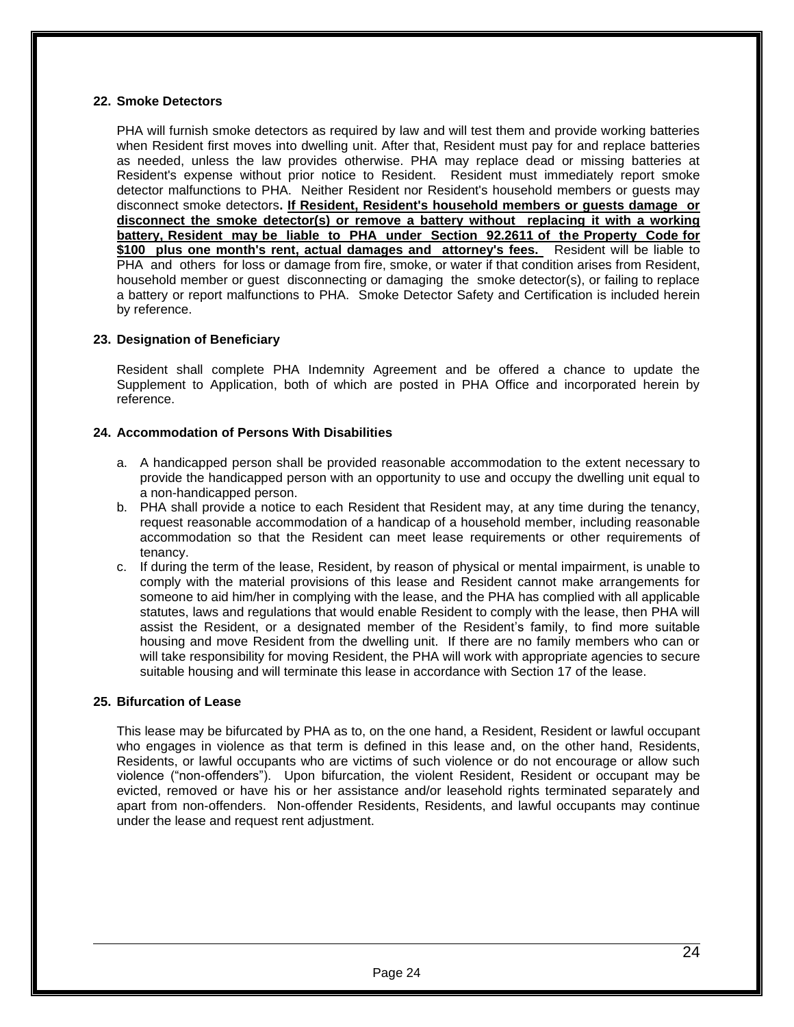## **22. Smoke Detectors**

PHA will furnish smoke detectors as required by law and will test them and provide working batteries when Resident first moves into dwelling unit. After that, Resident must pay for and replace batteries as needed, unless the law provides otherwise. PHA may replace dead or missing batteries at Resident's expense without prior notice to Resident. Resident must immediately report smoke detector malfunctions to PHA. Neither Resident nor Resident's household members or guests may disconnect smoke detectors**. If Resident, Resident's household members or guests damage or disconnect the smoke detector(s) or remove a battery without replacing it with a working battery, Resident may be liable to PHA under Section 92.2611 of the Property Code for**  \$100 plus one month's rent, actual damages and attorney's fees. Resident will be liable to PHA and others for loss or damage from fire, smoke, or water if that condition arises from Resident, household member or guest disconnecting or damaging the smoke detector(s), or failing to replace a battery or report malfunctions to PHA. Smoke Detector Safety and Certification is included herein by reference.

#### **23. Designation of Beneficiary**

Resident shall complete PHA Indemnity Agreement and be offered a chance to update the Supplement to Application, both of which are posted in PHA Office and incorporated herein by reference.

#### **24. Accommodation of Persons With Disabilities**

- a. A handicapped person shall be provided reasonable accommodation to the extent necessary to provide the handicapped person with an opportunity to use and occupy the dwelling unit equal to a non-handicapped person.
- b. PHA shall provide a notice to each Resident that Resident may, at any time during the tenancy, request reasonable accommodation of a handicap of a household member, including reasonable accommodation so that the Resident can meet lease requirements or other requirements of tenancy.
- c. If during the term of the lease, Resident, by reason of physical or mental impairment, is unable to comply with the material provisions of this lease and Resident cannot make arrangements for someone to aid him/her in complying with the lease, and the PHA has complied with all applicable statutes, laws and regulations that would enable Resident to comply with the lease, then PHA will assist the Resident, or a designated member of the Resident's family, to find more suitable housing and move Resident from the dwelling unit. If there are no family members who can or will take responsibility for moving Resident, the PHA will work with appropriate agencies to secure suitable housing and will terminate this lease in accordance with Section 17 of the lease.

#### **25. Bifurcation of Lease**

This lease may be bifurcated by PHA as to, on the one hand, a Resident, Resident or lawful occupant who engages in violence as that term is defined in this lease and, on the other hand, Residents, Residents, or lawful occupants who are victims of such violence or do not encourage or allow such violence ("non-offenders"). Upon bifurcation, the violent Resident, Resident or occupant may be evicted, removed or have his or her assistance and/or leasehold rights terminated separately and apart from non-offenders. Non-offender Residents, Residents, and lawful occupants may continue under the lease and request rent adjustment.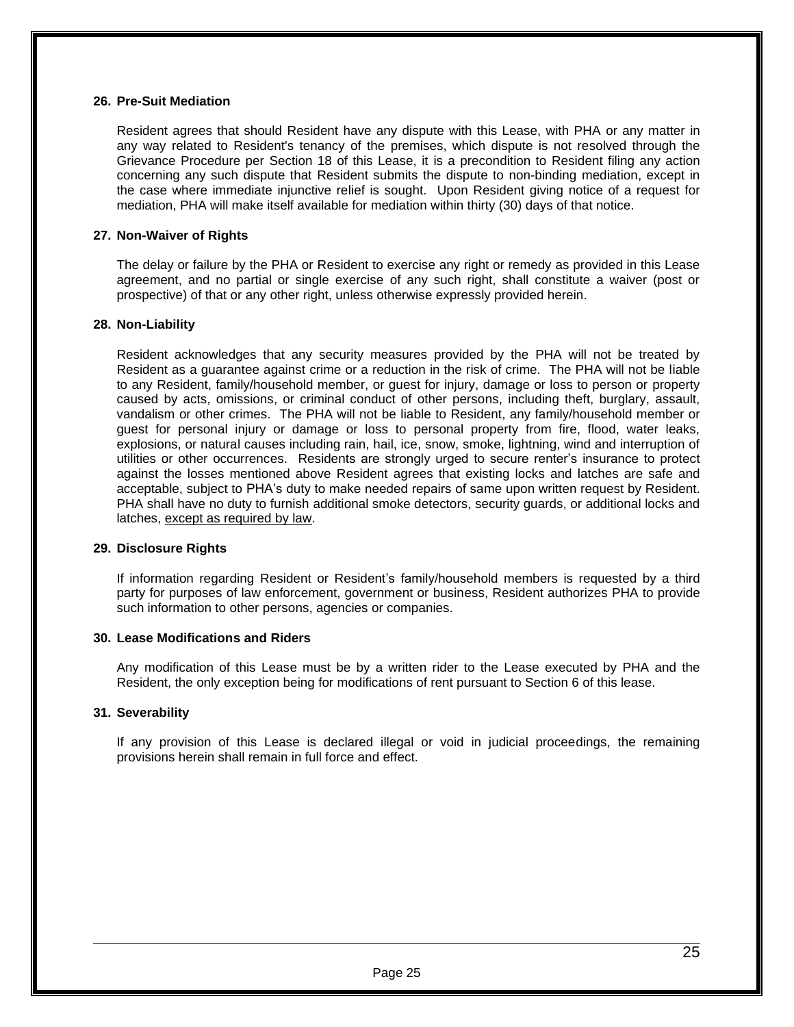#### **26. Pre-Suit Mediation**

Resident agrees that should Resident have any dispute with this Lease, with PHA or any matter in any way related to Resident's tenancy of the premises, which dispute is not resolved through the Grievance Procedure per Section 18 of this Lease, it is a precondition to Resident filing any action concerning any such dispute that Resident submits the dispute to non-binding mediation, except in the case where immediate injunctive relief is sought. Upon Resident giving notice of a request for mediation, PHA will make itself available for mediation within thirty (30) days of that notice.

#### **27. Non-Waiver of Rights**

The delay or failure by the PHA or Resident to exercise any right or remedy as provided in this Lease agreement, and no partial or single exercise of any such right, shall constitute a waiver (post or prospective) of that or any other right, unless otherwise expressly provided herein.

#### **28. Non-Liability**

Resident acknowledges that any security measures provided by the PHA will not be treated by Resident as a guarantee against crime or a reduction in the risk of crime. The PHA will not be liable to any Resident, family/household member, or guest for injury, damage or loss to person or property caused by acts, omissions, or criminal conduct of other persons, including theft, burglary, assault, vandalism or other crimes. The PHA will not be liable to Resident, any family/household member or guest for personal injury or damage or loss to personal property from fire, flood, water leaks, explosions, or natural causes including rain, hail, ice, snow, smoke, lightning, wind and interruption of utilities or other occurrences. Residents are strongly urged to secure renter's insurance to protect against the losses mentioned above Resident agrees that existing locks and latches are safe and acceptable, subject to PHA's duty to make needed repairs of same upon written request by Resident. PHA shall have no duty to furnish additional smoke detectors, security guards, or additional locks and latches, except as required by law.

#### **29. Disclosure Rights**

If information regarding Resident or Resident's family/household members is requested by a third party for purposes of law enforcement, government or business, Resident authorizes PHA to provide such information to other persons, agencies or companies.

#### **30. Lease Modifications and Riders**

Any modification of this Lease must be by a written rider to the Lease executed by PHA and the Resident, the only exception being for modifications of rent pursuant to Section 6 of this lease.

#### **31. Severability**

If any provision of this Lease is declared illegal or void in judicial proceedings, the remaining provisions herein shall remain in full force and effect.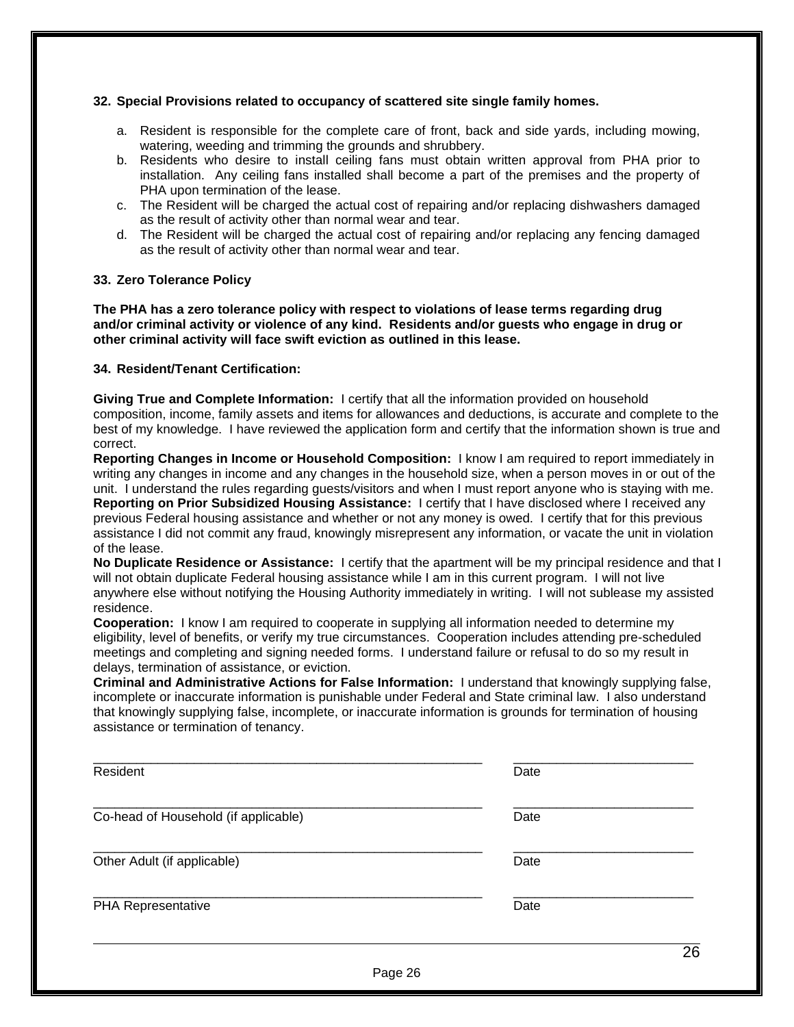## **32. Special Provisions related to occupancy of scattered site single family homes.**

- a. Resident is responsible for the complete care of front, back and side yards, including mowing, watering, weeding and trimming the grounds and shrubbery.
- b. Residents who desire to install ceiling fans must obtain written approval from PHA prior to installation. Any ceiling fans installed shall become a part of the premises and the property of PHA upon termination of the lease.
- c. The Resident will be charged the actual cost of repairing and/or replacing dishwashers damaged as the result of activity other than normal wear and tear.
- d. The Resident will be charged the actual cost of repairing and/or replacing any fencing damaged as the result of activity other than normal wear and tear.

#### **33. Zero Tolerance Policy**

**The PHA has a zero tolerance policy with respect to violations of lease terms regarding drug and/or criminal activity or violence of any kind. Residents and/or guests who engage in drug or other criminal activity will face swift eviction as outlined in this lease.**

#### **34. Resident/Tenant Certification:**

**Giving True and Complete Information:** I certify that all the information provided on household composition, income, family assets and items for allowances and deductions, is accurate and complete to the best of my knowledge. I have reviewed the application form and certify that the information shown is true and correct.

**Reporting Changes in Income or Household Composition:** I know I am required to report immediately in writing any changes in income and any changes in the household size, when a person moves in or out of the unit. I understand the rules regarding guests/visitors and when I must report anyone who is staying with me. **Reporting on Prior Subsidized Housing Assistance:** I certify that I have disclosed where I received any previous Federal housing assistance and whether or not any money is owed. I certify that for this previous assistance I did not commit any fraud, knowingly misrepresent any information, or vacate the unit in violation of the lease.

**No Duplicate Residence or Assistance:** I certify that the apartment will be my principal residence and that I will not obtain duplicate Federal housing assistance while I am in this current program. I will not live anywhere else without notifying the Housing Authority immediately in writing. I will not sublease my assisted residence.

**Cooperation:** I know I am required to cooperate in supplying all information needed to determine my eligibility, level of benefits, or verify my true circumstances. Cooperation includes attending pre-scheduled meetings and completing and signing needed forms. I understand failure or refusal to do so my result in delays, termination of assistance, or eviction.

**Criminal and Administrative Actions for False Information:** I understand that knowingly supplying false, incomplete or inaccurate information is punishable under Federal and State criminal law. I also understand that knowingly supplying false, incomplete, or inaccurate information is grounds for termination of housing assistance or termination of tenancy.

| Resident                             | Date |
|--------------------------------------|------|
| Co-head of Household (if applicable) | Date |
| Other Adult (if applicable)          | Date |
| PHA Representative                   | Date |
|                                      | 26   |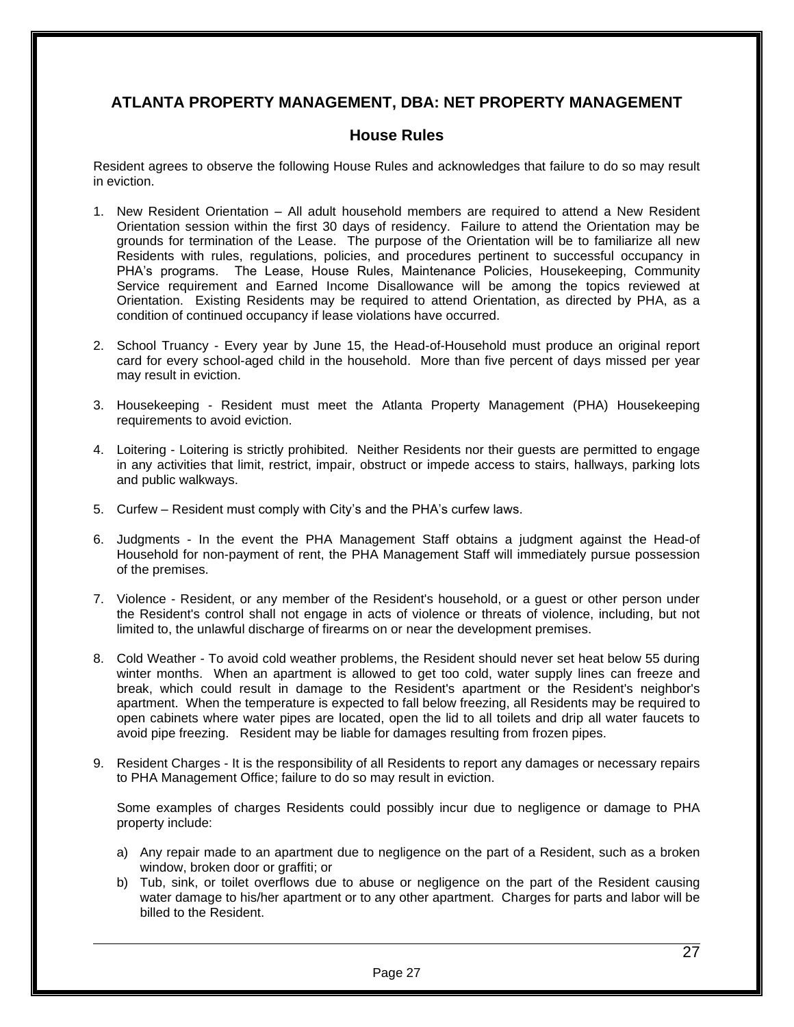## **ATLANTA PROPERTY MANAGEMENT, DBA: NET PROPERTY MANAGEMENT**

## **House Rules**

Resident agrees to observe the following House Rules and acknowledges that failure to do so may result in eviction.

- 1. New Resident Orientation All adult household members are required to attend a New Resident Orientation session within the first 30 days of residency. Failure to attend the Orientation may be grounds for termination of the Lease. The purpose of the Orientation will be to familiarize all new Residents with rules, regulations, policies, and procedures pertinent to successful occupancy in PHA's programs. The Lease, House Rules, Maintenance Policies, Housekeeping, Community Service requirement and Earned Income Disallowance will be among the topics reviewed at Orientation. Existing Residents may be required to attend Orientation, as directed by PHA, as a condition of continued occupancy if lease violations have occurred.
- 2. School Truancy Every year by June 15, the Head-of-Household must produce an original report card for every school-aged child in the household. More than five percent of days missed per year may result in eviction.
- 3. Housekeeping Resident must meet the Atlanta Property Management (PHA) Housekeeping requirements to avoid eviction.
- 4. Loitering Loitering is strictly prohibited. Neither Residents nor their guests are permitted to engage in any activities that limit, restrict, impair, obstruct or impede access to stairs, hallways, parking lots and public walkways.
- 5. Curfew Resident must comply with City's and the PHA's curfew laws.
- 6. Judgments In the event the PHA Management Staff obtains a judgment against the Head-of Household for non-payment of rent, the PHA Management Staff will immediately pursue possession of the premises.
- 7. Violence Resident, or any member of the Resident's household, or a guest or other person under the Resident's control shall not engage in acts of violence or threats of violence, including, but not limited to, the unlawful discharge of firearms on or near the development premises.
- 8. Cold Weather To avoid cold weather problems, the Resident should never set heat below 55 during winter months. When an apartment is allowed to get too cold, water supply lines can freeze and break, which could result in damage to the Resident's apartment or the Resident's neighbor's apartment. When the temperature is expected to fall below freezing, all Residents may be required to open cabinets where water pipes are located, open the lid to all toilets and drip all water faucets to avoid pipe freezing. Resident may be liable for damages resulting from frozen pipes.
- 9. Resident Charges It is the responsibility of all Residents to report any damages or necessary repairs to PHA Management Office; failure to do so may result in eviction.

Some examples of charges Residents could possibly incur due to negligence or damage to PHA property include:

- a) Any repair made to an apartment due to negligence on the part of a Resident, such as a broken window, broken door or graffiti; or
- b) Tub, sink, or toilet overflows due to abuse or negligence on the part of the Resident causing water damage to his/her apartment or to any other apartment. Charges for parts and labor will be billed to the Resident.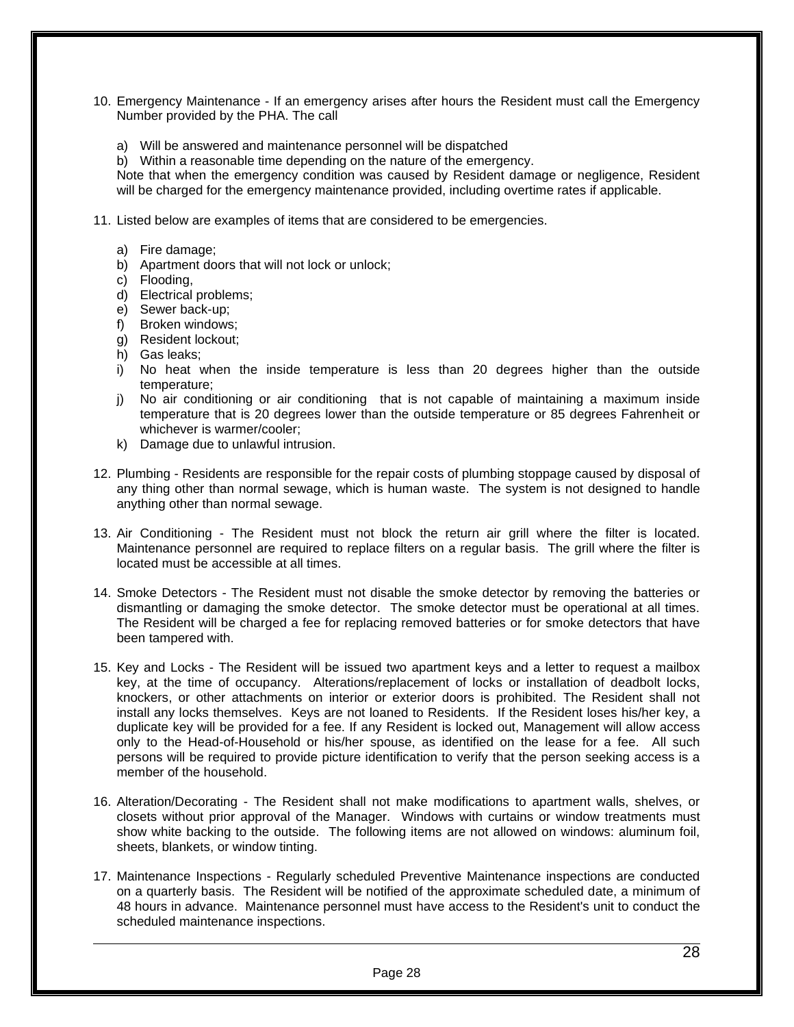- 10. Emergency Maintenance If an emergency arises after hours the Resident must call the Emergency Number provided by the PHA. The call
	- a) Will be answered and maintenance personnel will be dispatched
	- b) Within a reasonable time depending on the nature of the emergency.

Note that when the emergency condition was caused by Resident damage or negligence, Resident will be charged for the emergency maintenance provided, including overtime rates if applicable.

- 11. Listed below are examples of items that are considered to be emergencies.
	- a) Fire damage;
	- b) Apartment doors that will not lock or unlock;
	- c) Flooding,
	- d) Electrical problems;
	- e) Sewer back-up;
	- f) Broken windows;
	- g) Resident lockout;
	- h) Gas leaks;
	- i) No heat when the inside temperature is less than 20 degrees higher than the outside temperature;
	- j) No air conditioning or air conditioning that is not capable of maintaining a maximum inside temperature that is 20 degrees lower than the outside temperature or 85 degrees Fahrenheit or whichever is warmer/cooler;
	- k) Damage due to unlawful intrusion.
- 12. Plumbing Residents are responsible for the repair costs of plumbing stoppage caused by disposal of any thing other than normal sewage, which is human waste. The system is not designed to handle anything other than normal sewage.
- 13. Air Conditioning The Resident must not block the return air grill where the filter is located. Maintenance personnel are required to replace filters on a regular basis. The grill where the filter is located must be accessible at all times.
- 14. Smoke Detectors The Resident must not disable the smoke detector by removing the batteries or dismantling or damaging the smoke detector. The smoke detector must be operational at all times. The Resident will be charged a fee for replacing removed batteries or for smoke detectors that have been tampered with.
- 15. Key and Locks The Resident will be issued two apartment keys and a letter to request a mailbox key, at the time of occupancy. Alterations/replacement of locks or installation of deadbolt locks, knockers, or other attachments on interior or exterior doors is prohibited. The Resident shall not install any locks themselves. Keys are not loaned to Residents. If the Resident loses his/her key, a duplicate key will be provided for a fee. If any Resident is locked out, Management will allow access only to the Head-of-Household or his/her spouse, as identified on the lease for a fee. All such persons will be required to provide picture identification to verify that the person seeking access is a member of the household.
- 16. Alteration/Decorating The Resident shall not make modifications to apartment walls, shelves, or closets without prior approval of the Manager. Windows with curtains or window treatments must show white backing to the outside. The following items are not allowed on windows: aluminum foil, sheets, blankets, or window tinting.
- 17. Maintenance Inspections Regularly scheduled Preventive Maintenance inspections are conducted on a quarterly basis. The Resident will be notified of the approximate scheduled date, a minimum of 48 hours in advance. Maintenance personnel must have access to the Resident's unit to conduct the scheduled maintenance inspections.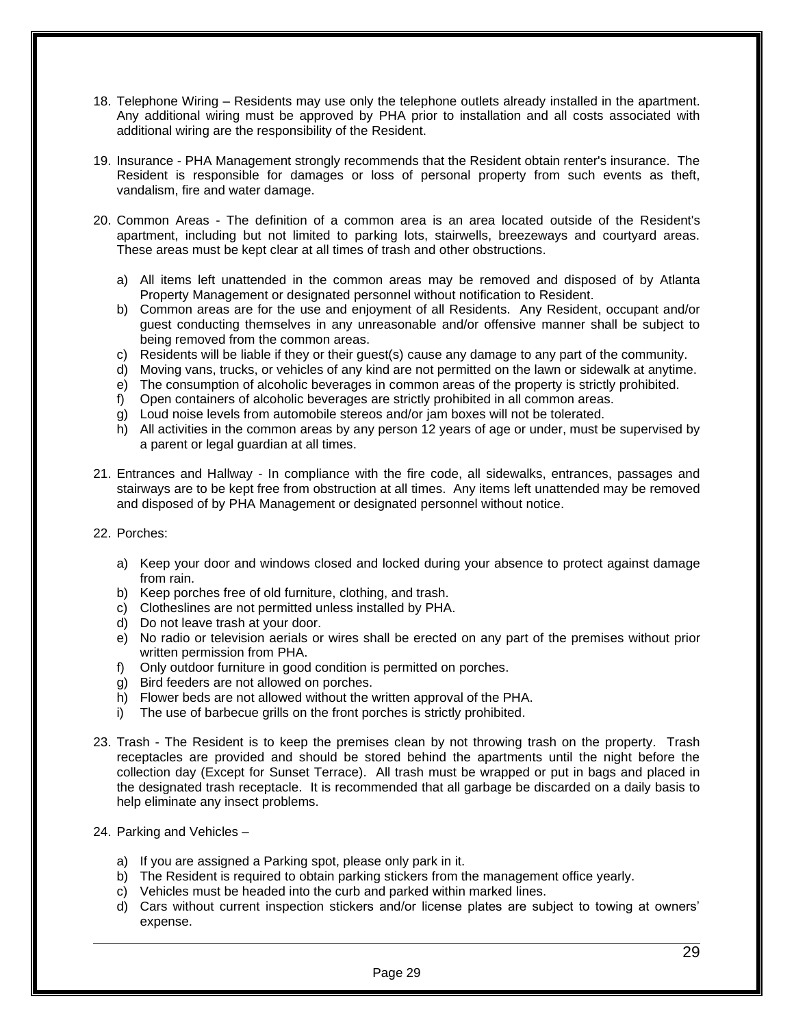- 18. Telephone Wiring Residents may use only the telephone outlets already installed in the apartment. Any additional wiring must be approved by PHA prior to installation and all costs associated with additional wiring are the responsibility of the Resident.
- 19. Insurance PHA Management strongly recommends that the Resident obtain renter's insurance. The Resident is responsible for damages or loss of personal property from such events as theft, vandalism, fire and water damage.
- 20. Common Areas The definition of a common area is an area located outside of the Resident's apartment, including but not limited to parking lots, stairwells, breezeways and courtyard areas. These areas must be kept clear at all times of trash and other obstructions.
	- a) All items left unattended in the common areas may be removed and disposed of by Atlanta Property Management or designated personnel without notification to Resident.
	- b) Common areas are for the use and enjoyment of all Residents. Any Resident, occupant and/or guest conducting themselves in any unreasonable and/or offensive manner shall be subject to being removed from the common areas.
	- c) Residents will be liable if they or their guest(s) cause any damage to any part of the community.
	- d) Moving vans, trucks, or vehicles of any kind are not permitted on the lawn or sidewalk at anytime.
	- e) The consumption of alcoholic beverages in common areas of the property is strictly prohibited.
	- f) Open containers of alcoholic beverages are strictly prohibited in all common areas.
	- g) Loud noise levels from automobile stereos and/or jam boxes will not be tolerated.
	- h) All activities in the common areas by any person 12 years of age or under, must be supervised by a parent or legal guardian at all times.
- 21. Entrances and Hallway In compliance with the fire code, all sidewalks, entrances, passages and stairways are to be kept free from obstruction at all times. Any items left unattended may be removed and disposed of by PHA Management or designated personnel without notice.
- 22. Porches:
	- a) Keep your door and windows closed and locked during your absence to protect against damage from rain.
	- b) Keep porches free of old furniture, clothing, and trash.
	- c) Clotheslines are not permitted unless installed by PHA.
	- d) Do not leave trash at your door.
	- e) No radio or television aerials or wires shall be erected on any part of the premises without prior written permission from PHA.
	- f) Only outdoor furniture in good condition is permitted on porches.
	- g) Bird feeders are not allowed on porches.
	- h) Flower beds are not allowed without the written approval of the PHA.
	- i) The use of barbecue grills on the front porches is strictly prohibited.
- 23. Trash The Resident is to keep the premises clean by not throwing trash on the property. Trash receptacles are provided and should be stored behind the apartments until the night before the collection day (Except for Sunset Terrace). All trash must be wrapped or put in bags and placed in the designated trash receptacle. It is recommended that all garbage be discarded on a daily basis to help eliminate any insect problems.
- 24. Parking and Vehicles
	- a) If you are assigned a Parking spot, please only park in it.
	- b) The Resident is required to obtain parking stickers from the management office yearly.
	- c) Vehicles must be headed into the curb and parked within marked lines.
	- d) Cars without current inspection stickers and/or license plates are subject to towing at owners' expense.